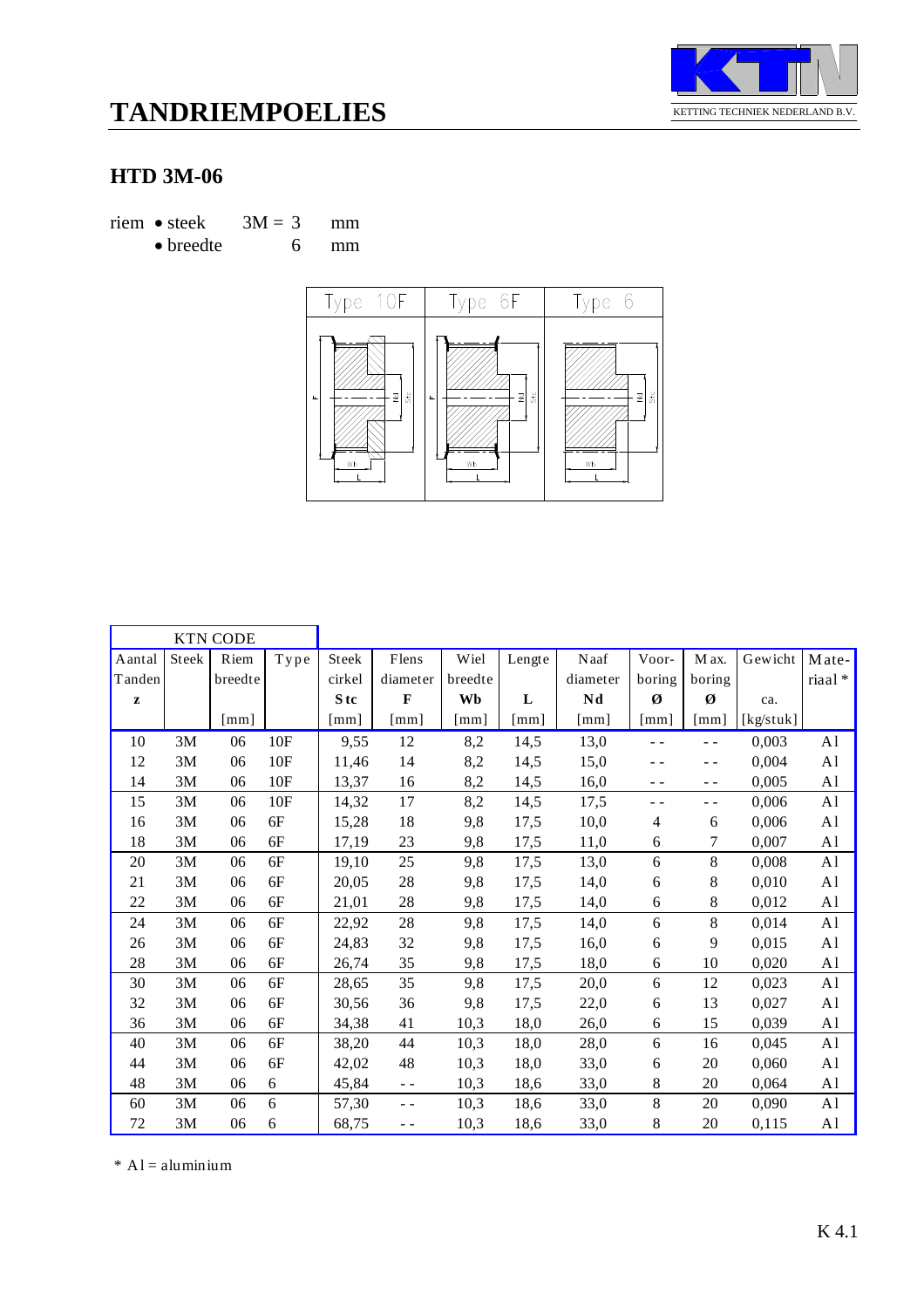

# **TANDRIEMPOELIES**

### **HTD 3M-06**

riem • steek  $3M = 3$  mm • breedte 6 mm



|              |               | <b>KTN CODE</b>      |                             |                 |                    |         |        |          |               |                    |           |                |
|--------------|---------------|----------------------|-----------------------------|-----------------|--------------------|---------|--------|----------|---------------|--------------------|-----------|----------------|
| Aantal       | Steek         | Riem                 | ${\bf T} {\bf y} {\bf p}$ e | Steek           | Flens              | Wiel    | Lengte | Naaf     | Voor-         | M ax.              | Gewicht   | Mate-          |
| Tanden       |               | breedte              |                             | cirkel          | diameter           | breedte |        | diameter | boring        | boring             |           | riaal*         |
| $\mathbf{z}$ |               |                      |                             | S <sub>tc</sub> | $\mathbf{F}$       | Wb      | L      | Nd       | Ø             | Ø                  | ca.       |                |
|              |               | $\lceil$ mm $\rceil$ |                             | [mm]            | $\lceil mm \rceil$ | [mm]    | [mm]   | [mm]     | [mm]          | $\lceil mm \rceil$ | [kg/stuk] |                |
| 10           | 3M            | 06                   | 10F                         | 9,55            | 12                 | 8,2     | 14,5   | 13,0     | $\sim$ $\sim$ | $ -$               | 0,003     | A <sub>1</sub> |
| 12           | 3M            | 06                   | 10F                         | 11,46           | 14                 | 8,2     | 14,5   | 15,0     | - -           | - -                | 0,004     | A <sub>1</sub> |
| 14           | 3M            | 06                   | 10F                         | 13,37           | 16                 | 8,2     | 14,5   | 16,0     | - -           | $ -$               | 0,005     | A <sub>1</sub> |
| 15           | 3M            | 06                   | 10F                         | 14,32           | 17                 | 8,2     | 14,5   | 17,5     | $ -$          | $ -$               | 0,006     | A <sub>1</sub> |
| 16           | 3M            | 06                   | 6F                          | 15,28           | 18                 | 9,8     | 17,5   | 10,0     | 4             | 6                  | 0,006     | A <sub>1</sub> |
| 18           | 3M            | 06                   | 6F                          | 17,19           | 23                 | 9,8     | 17,5   | 11,0     | 6             | 7                  | 0,007     | A <sub>1</sub> |
| 20           | 3M            | 06                   | 6F                          | 19,10           | 25                 | 9,8     | 17,5   | 13,0     | 6             | 8                  | 0,008     | A <sub>1</sub> |
| 21           | 3M            | 06                   | 6F                          | 20,05           | 28                 | 9,8     | 17,5   | 14,0     | 6             | 8                  | 0,010     | A <sub>1</sub> |
| 22           | 3M            | 06                   | 6F                          | 21,01           | 28                 | 9,8     | 17,5   | 14,0     | 6             | $\,8\,$            | 0,012     | A <sub>1</sub> |
| 24           | 3M            | 06                   | $6F$                        | 22,92           | 28                 | 9,8     | 17,5   | 14,0     | 6             | 8                  | 0,014     | A <sub>1</sub> |
| 26           | 3M            | 06                   | 6F                          | 24,83           | 32                 | 9,8     | 17,5   | 16,0     | 6             | 9                  | 0,015     | A <sub>1</sub> |
| 28           | 3M            | 06                   | 6F                          | 26,74           | 35                 | 9,8     | 17,5   | 18,0     | 6             | 10                 | 0,020     | A <sub>1</sub> |
| 30           | 3M            | 06                   | 6F                          | 28,65           | 35                 | 9,8     | 17,5   | 20,0     | 6             | 12                 | 0,023     | A <sub>1</sub> |
| 32           | 3M            | 06                   | 6F                          | 30,56           | 36                 | 9,8     | 17,5   | 22,0     | 6             | 13                 | 0,027     | A <sub>1</sub> |
| 36           | $3\mathrm{M}$ | 06                   | 6F                          | 34,38           | 41                 | 10,3    | 18,0   | 26,0     | 6             | 15                 | 0,039     | A <sub>1</sub> |
| 40           | 3M            | 06                   | 6F                          | 38,20           | 44                 | 10,3    | 18,0   | 28,0     | 6             | 16                 | 0,045     | A <sub>1</sub> |
| 44           | 3M            | 06                   | 6F                          | 42,02           | 48                 | 10,3    | 18,0   | 33,0     | 6             | 20                 | 0,060     | A <sub>1</sub> |
| 48           | 3M            | 06                   | 6                           | 45,84           | $\sim$ $\sim$      | 10,3    | 18,6   | 33,0     | 8             | 20                 | 0,064     | A1             |
| 60           | 3M            | 06                   | 6                           | 57,30           | $ -$               | 10,3    | 18,6   | 33,0     | $\,8$         | 20                 | 0,090     | A <sub>1</sub> |
| 72           | 3M            | 06                   | $\sqrt{6}$                  | 68,75           | $ -$               | 10,3    | 18,6   | 33,0     | 8             | 20                 | 0,115     | A <sub>1</sub> |

 $*$  A l = aluminium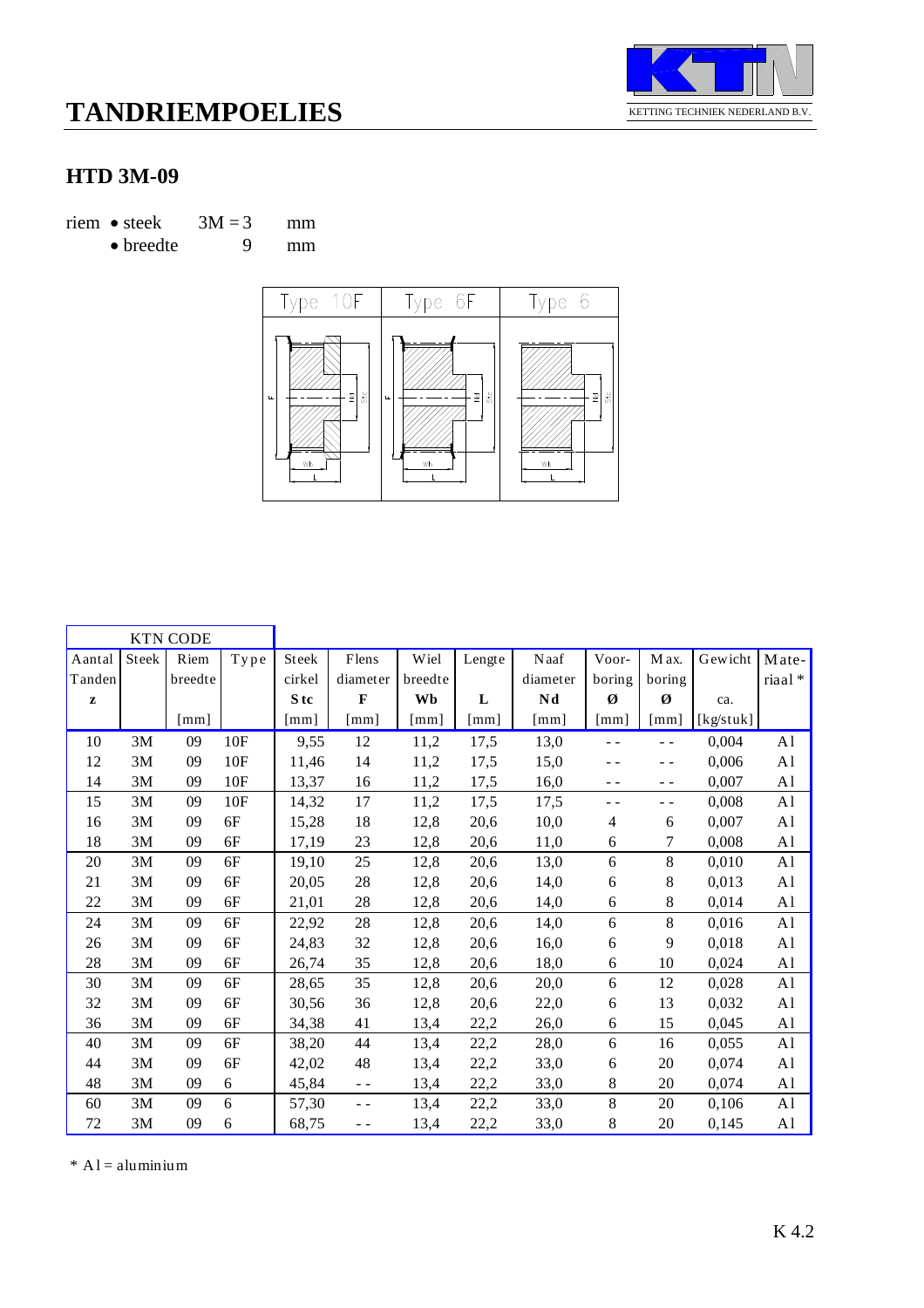

#### **HTD 3M-09**

riem • steek  $3M = 3$  mm

$$
\bullet\,\text{breedte}\qquad\qquad 9\qquad\text{mm}
$$



|        |       | <b>KTN CODE</b> |                                   |                 |                                                                                                                                                                                                                                                                                                                                                                                              |         |        |                           |               |                      |           |                |
|--------|-------|-----------------|-----------------------------------|-----------------|----------------------------------------------------------------------------------------------------------------------------------------------------------------------------------------------------------------------------------------------------------------------------------------------------------------------------------------------------------------------------------------------|---------|--------|---------------------------|---------------|----------------------|-----------|----------------|
| Aantal | Steek | Riem            | ${\bf T} {\bf y} {\bf p} {\bf e}$ | Steek           | Flens                                                                                                                                                                                                                                                                                                                                                                                        | Wiel    | Lengte | $\rm Naaf$                | Voor-         | M ax.                | Gewicht   | Mate-          |
| Tanden |       | breedte         |                                   | cirkel          | diameter                                                                                                                                                                                                                                                                                                                                                                                     | breedte |        | diameter                  | boring        | boring               |           | riaal*         |
| z      |       |                 |                                   | S <sub>tc</sub> | F                                                                                                                                                                                                                                                                                                                                                                                            | Wb      | L      | Nd                        | Ø             | Ø                    | ca.       |                |
|        |       | [mm]            |                                   | $\lceil$ mm]    | $\lceil$ mm $\rceil$                                                                                                                                                                                                                                                                                                                                                                         | [mm]    | [mm]   | $\lceil \text{mm} \rceil$ | [mm]          | $\lceil$ mm $\rceil$ | [kg/stuk] |                |
| 10     | 3M    | 09              | 10F                               | 9,55            | 12                                                                                                                                                                                                                                                                                                                                                                                           | 11,2    | 17,5   | 13,0                      | $\sim$ $\sim$ | $\sim$ $\sim$        | 0,004     | A <sub>1</sub> |
| 12     | 3M    | 09              | 10F                               | 11,46           | 14                                                                                                                                                                                                                                                                                                                                                                                           | 11,2    | 17,5   | 15,0                      | - -           | $ -$                 | 0,006     | A <sub>1</sub> |
| 14     | 3M    | 09              | 10F                               | 13,37           | 16                                                                                                                                                                                                                                                                                                                                                                                           | 11,2    | 17,5   | 16,0                      | $ -$          | $ -$                 | 0,007     | A <sub>1</sub> |
| 15     | 3M    | 09              | 10F                               | 14,32           | 17                                                                                                                                                                                                                                                                                                                                                                                           | 11,2    | 17,5   | 17,5                      | - -           | - -                  | 0,008     | A1             |
| 16     | 3M    | 09              | 6F                                | 15,28           | 18                                                                                                                                                                                                                                                                                                                                                                                           | 12,8    | 20,6   | 10,0                      | 4             | 6                    | 0,007     | A <sub>1</sub> |
| 18     | 3M    | 09              | 6F                                | 17,19           | 23                                                                                                                                                                                                                                                                                                                                                                                           | 12,8    | 20,6   | 11,0                      | 6             | 7                    | 0,008     | A <sub>1</sub> |
| 20     | 3M    | 09              | 6F                                | 19,10           | 25                                                                                                                                                                                                                                                                                                                                                                                           | 12,8    | 20,6   | 13,0                      | 6             | 8                    | 0,010     | A <sub>1</sub> |
| 21     | 3M    | 09              | 6F                                | 20,05           | 28                                                                                                                                                                                                                                                                                                                                                                                           | 12,8    | 20,6   | 14,0                      | 6             | 8                    | 0,013     | A <sub>1</sub> |
| 22     | 3M    | 09              | 6F                                | 21,01           | 28                                                                                                                                                                                                                                                                                                                                                                                           | 12,8    | 20,6   | 14,0                      | 6             | 8                    | 0,014     | A <sub>1</sub> |
| 24     | 3M    | 09              | 6F                                | 22,92           | 28                                                                                                                                                                                                                                                                                                                                                                                           | 12,8    | 20,6   | 14,0                      | 6             | 8                    | 0,016     | A <sub>1</sub> |
| 26     | 3M    | 09              | 6F                                | 24,83           | 32                                                                                                                                                                                                                                                                                                                                                                                           | 12,8    | 20,6   | 16,0                      | 6             | 9                    | 0,018     | A <sub>1</sub> |
| $28\,$ | 3M    | 09              | 6F                                | 26,74           | 35                                                                                                                                                                                                                                                                                                                                                                                           | 12,8    | 20,6   | 18,0                      | 6             | 10                   | 0,024     | A <sub>1</sub> |
| 30     | 3M    | 09              | $6F$                              | 28,65           | 35                                                                                                                                                                                                                                                                                                                                                                                           | 12,8    | 20,6   | 20,0                      | 6             | 12                   | 0,028     | A <sub>1</sub> |
| 32     | 3M    | 09              | 6F                                | 30,56           | 36                                                                                                                                                                                                                                                                                                                                                                                           | 12,8    | 20,6   | 22,0                      | 6             | 13                   | 0,032     | A <sub>1</sub> |
| 36     | 3M    | 09              | 6F                                | 34,38           | 41                                                                                                                                                                                                                                                                                                                                                                                           | 13,4    | 22,2   | 26,0                      | 6             | 15                   | 0,045     | A <sub>1</sub> |
| 40     | 3M    | 09              | 6F                                | 38,20           | 44                                                                                                                                                                                                                                                                                                                                                                                           | 13,4    | 22,2   | 28,0                      | 6             | 16                   | 0,055     | A <sub>1</sub> |
| 44     | 3M    | 09              | 6F                                | 42,02           | 48                                                                                                                                                                                                                                                                                                                                                                                           | 13,4    | 22,2   | 33,0                      | 6             | 20                   | 0,074     | A <sub>1</sub> |
| 48     | 3M    | 09              | 6                                 | 45,84           | $\sim$ $\sim$                                                                                                                                                                                                                                                                                                                                                                                | 13,4    | 22,2   | 33,0                      | 8             | 20                   | 0,074     | A <sub>1</sub> |
| 60     | 3M    | 09              | 6                                 | 57,30           | $\frac{1}{2} \frac{1}{2} \frac{1}{2} \frac{1}{2} \frac{1}{2} \frac{1}{2} \frac{1}{2} \frac{1}{2} \frac{1}{2} \frac{1}{2} \frac{1}{2} \frac{1}{2} \frac{1}{2} \frac{1}{2} \frac{1}{2} \frac{1}{2} \frac{1}{2} \frac{1}{2} \frac{1}{2} \frac{1}{2} \frac{1}{2} \frac{1}{2} \frac{1}{2} \frac{1}{2} \frac{1}{2} \frac{1}{2} \frac{1}{2} \frac{1}{2} \frac{1}{2} \frac{1}{2} \frac{1}{2} \frac{$ | 13,4    | 22,2   | 33,0                      | 8             | 20                   | 0,106     | A1             |
| 72     | 3M    | 09              | 6                                 | 68,75           | $ -$                                                                                                                                                                                                                                                                                                                                                                                         | 13,4    | 22,2   | 33,0                      | 8             | 20                   | 0,145     | A <sub>1</sub> |

 $*$  A l = aluminium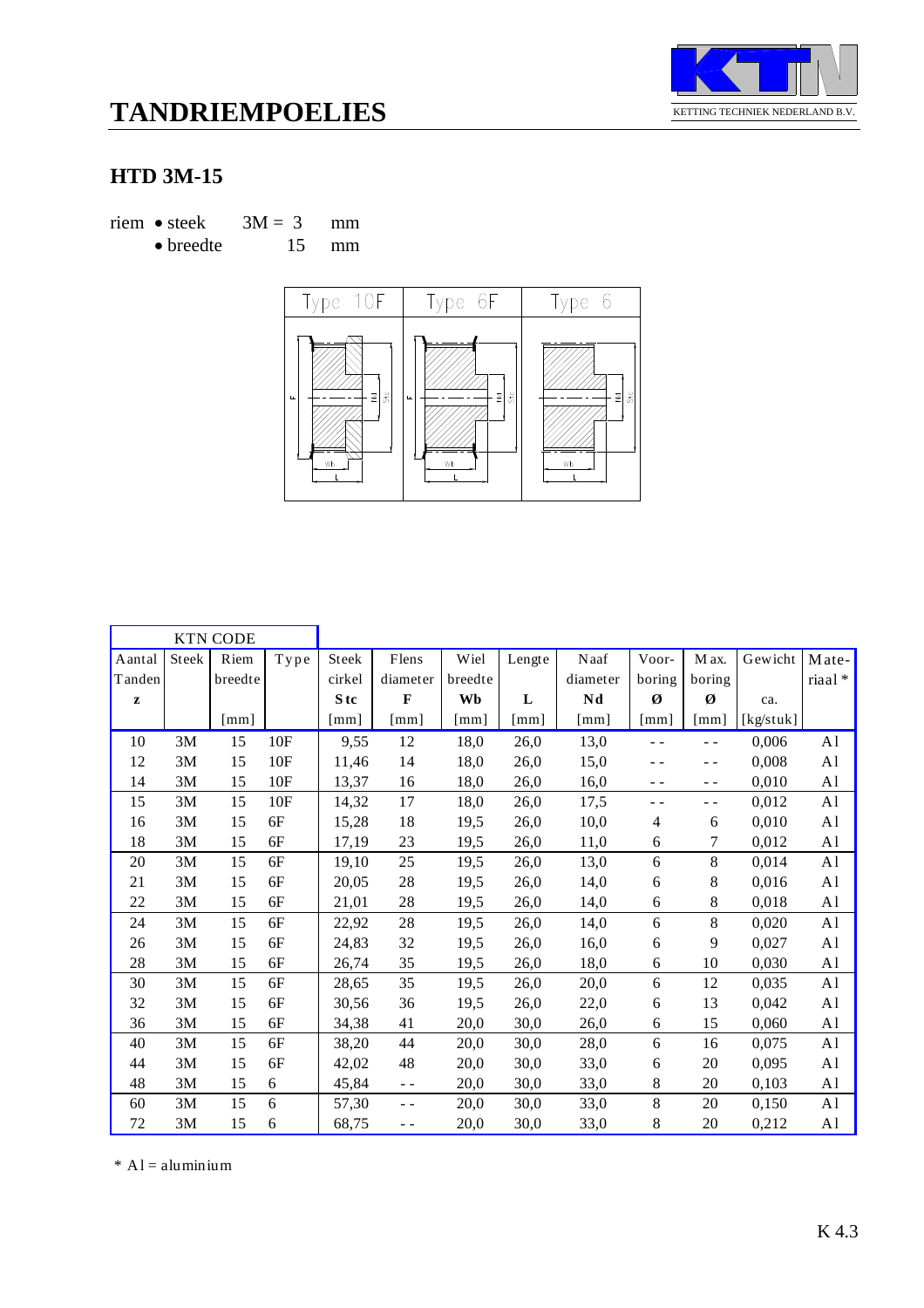

# **TANDRIEMPOELIES**

### **HTD 3M-15**

riem • steek  $3M = 3$  mm • breedte 15 mm



|              |       | <b>KTN CODE</b>    |                                   |                      |                      |                      |                    |          |                          |                    |           |                |
|--------------|-------|--------------------|-----------------------------------|----------------------|----------------------|----------------------|--------------------|----------|--------------------------|--------------------|-----------|----------------|
| Aantal       | Steek | Riem               | ${\bf T} {\bf y} {\bf p} {\bf e}$ | Steek                | Flens                | Wiel                 | Lengte             | Naaf     | Voor-                    | M ax.              | Gewicht   | Mate-          |
| Tanden       |       | breedte            |                                   | cirkel               | diameter             | breedte              |                    | diameter | boring                   | boring             |           | riaal*         |
| $\mathbf{z}$ |       |                    |                                   | S tc                 | $\mathbf{F}$         | Wb                   | ${\bf L}$          | Nd       | Ø                        | Ø                  | ca.       |                |
|              |       | $\lceil mm \rceil$ |                                   | $\lceil$ mm $\rceil$ | $\lceil$ mm $\rceil$ | $\lceil$ mm $\rceil$ | $\lceil mm \rceil$ | [mm]     | $\lceil$ mm $\rceil$     | $\lceil mm \rceil$ | [kg/stuk] |                |
| 10           | 3M    | 15                 | 10F                               | 9,55                 | 12                   | 18,0                 | 26,0               | 13,0     | $ -$                     | $ -$               | 0,006     | A <sub>1</sub> |
| 12           | 3M    | 15                 | 10F                               | 11,46                | 14                   | 18,0                 | 26,0               | 15,0     |                          | $ -$               | 0,008     | A <sub>1</sub> |
| 14           | 3M    | 15                 | 10F                               | 13,37                | 16                   | 18,0                 | 26,0               | 16,0     | $ -$                     | $ -$               | 0,010     | A <sub>1</sub> |
| 15           | 3M    | 15                 | 10F                               | 14,32                | 17                   | 18,0                 | 26,0               | 17,5     | $ -$                     | - -                | 0,012     | A <sub>1</sub> |
| 16           | 3M    | 15                 | 6F                                | 15,28                | 18                   | 19,5                 | 26,0               | 10,0     | $\overline{\mathcal{A}}$ | 6                  | 0,010     | A <sub>1</sub> |
| 18           | 3M    | 15                 | 6F                                | 17,19                | 23                   | 19,5                 | 26,0               | 11,0     | 6                        | 7                  | 0,012     | A <sub>1</sub> |
| 20           | 3M    | 15                 | 6F                                | 19,10                | 25                   | 19,5                 | 26,0               | 13,0     | 6                        | 8                  | 0,014     | A <sub>1</sub> |
| 21           | 3M    | 15                 | 6F                                | 20,05                | 28                   | 19,5                 | 26,0               | 14,0     | 6                        | 8                  | 0,016     | A1             |
| 22           | 3M    | 15                 | 6F                                | 21,01                | $28\,$               | 19,5                 | 26,0               | 14,0     | 6                        | 8                  | 0,018     | A1             |
| 24           | 3M    | 15                 | 6F                                | 22,92                | $28\,$               | 19,5                 | 26,0               | 14,0     | 6                        | 8                  | 0,020     | A <sub>1</sub> |
| 26           | 3M    | 15                 | 6F                                | 24,83                | 32                   | 19,5                 | 26,0               | 16,0     | 6                        | 9                  | 0,027     | A <sub>1</sub> |
| 28           | 3M    | 15                 | 6F                                | 26,74                | 35                   | 19,5                 | 26,0               | 18,0     | 6                        | 10                 | 0,030     | A1             |
| 30           | 3M    | 15                 | 6F                                | 28,65                | 35                   | 19,5                 | 26,0               | 20,0     | 6                        | 12                 | 0,035     | A1             |
| 32           | 3M    | 15                 | 6F                                | 30,56                | 36                   | 19,5                 | 26,0               | 22,0     | $\boldsymbol{6}$         | 13                 | 0,042     | A1             |
| 36           | 3M    | 15                 | 6F                                | 34,38                | 41                   | 20,0                 | 30,0               | 26,0     | 6                        | 15                 | 0,060     | A1             |
| 40           | 3M    | 15                 | 6F                                | 38,20                | 44                   | 20,0                 | 30,0               | 28,0     | 6                        | 16                 | 0,075     | A <sub>1</sub> |
| 44           | 3M    | 15                 | 6F                                | 42,02                | 48                   | 20,0                 | 30,0               | 33,0     | 6                        | 20                 | 0,095     | A1             |
| 48           | 3M    | 15                 | 6                                 | 45,84                | $\sim$ $\sim$        | 20,0                 | 30,0               | 33,0     | 8                        | 20                 | 0,103     | A1             |
| 60           | 3M    | 15                 | 6                                 | 57,30                | $ -$                 | 20,0                 | 30,0               | 33,0     | $\,8\,$                  | 20                 | 0,150     | A <sub>1</sub> |
| 72           | 3M    | 15                 | 6                                 | 68,75                | - -                  | 20,0                 | 30,0               | 33,0     | 8                        | 20                 | 0,212     | A1             |

 $*$  A l = aluminium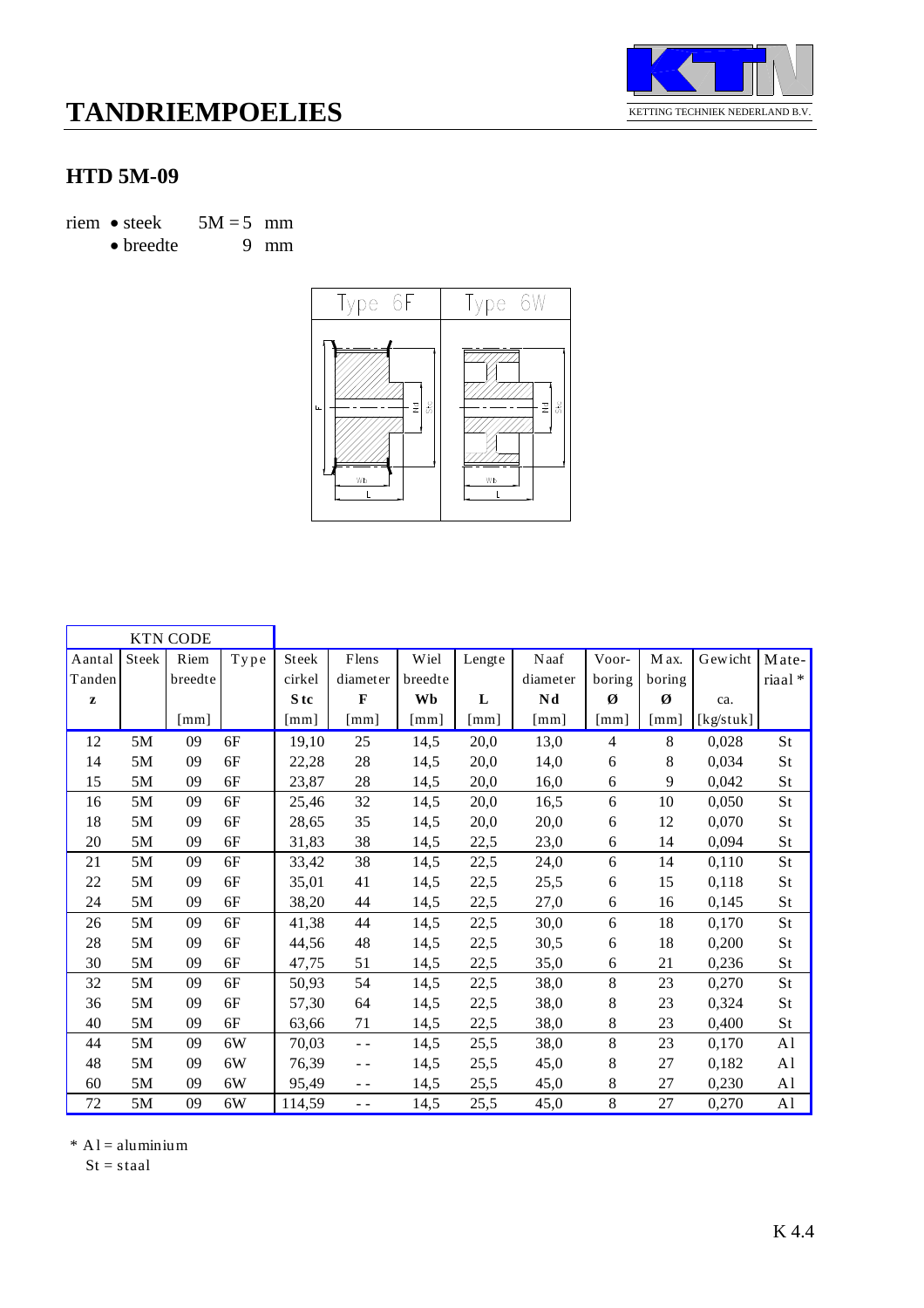

#### **HTD 5M-09**

riem • steek  $5M = 5$  mm<br>• breedte 9 mm

 $\bullet$  breedte



|              |       | <b>KTN CODE</b> |                |                 |               |         |              |                      |                             |        |           |                |
|--------------|-------|-----------------|----------------|-----------------|---------------|---------|--------------|----------------------|-----------------------------|--------|-----------|----------------|
| Aantal       | Steek | Riem            | ${\bf T}$ y pe | <b>Steek</b>    | Flens         | Wiel    | Lengte       | Naaf                 | Voor-                       | M ax.  | Gewicht   | Mate-          |
| Tanden       |       | breedte         |                | cirkel          | diameter      | breedte |              | diameter             | boring                      | boring |           | riaal*         |
| $\mathbf{z}$ |       |                 |                | S <sub>tc</sub> | $\mathbf{F}$  | Wb      | L            | Nd                   | Ø                           | Ø      | ca.       |                |
|              |       | [mm]            |                | $\lceil$ mm]    | $\lceil$ mm]  | [mm]    | $\lceil$ mm] | $\lceil$ mm $\rceil$ | $\lceil \mathbf{mm} \rceil$ | [mm]   | [kg/stuk] |                |
| 12           | 5M    | 09              | 6F             | 19,10           | 25            | 14,5    | 20,0         | 13,0                 | $\overline{4}$              | 8      | 0,028     | St             |
| 14           | 5M    | 09              | 6F             | 22,28           | 28            | 14,5    | 20,0         | 14,0                 | 6                           | 8      | 0,034     | St             |
| 15           | 5M    | 09              | 6F             | 23,87           | 28            | 14,5    | 20,0         | 16,0                 | 6                           | 9      | 0,042     | St             |
| 16           | 5M    | 09              | 6F             | 25,46           | 32            | 14,5    | 20,0         | 16,5                 | 6                           | 10     | 0,050     | St             |
| 18           | 5M    | 09              | 6F             | 28,65           | 35            | 14,5    | 20,0         | 20,0                 | 6                           | 12     | 0,070     | St             |
| $20\,$       | 5M    | 09              | 6F             | 31,83           | 38            | 14,5    | 22,5         | 23,0                 | 6                           | 14     | 0,094     | St             |
| 21           | 5M    | 09              | 6F             | 33,42           | 38            | 14,5    | 22,5         | 24,0                 | 6                           | 14     | 0,110     | St             |
| 22           | 5M    | 09              | 6F             | 35,01           | 41            | 14,5    | 22,5         | 25,5                 | 6                           | 15     | 0,118     | St             |
| 24           | 5M    | 09              | 6F             | 38,20           | 44            | 14,5    | 22,5         | 27,0                 | 6                           | 16     | 0,145     | St             |
| 26           | 5M    | 09              | 6F             | 41,38           | 44            | 14,5    | 22,5         | 30,0                 | 6                           | 18     | 0,170     | St             |
| 28           | 5M    | 09              | 6F             | 44,56           | 48            | 14,5    | 22,5         | 30,5                 | 6                           | 18     | 0,200     | St             |
| 30           | 5M    | 09              | 6F             | 47,75           | 51            | 14,5    | 22,5         | 35,0                 | 6                           | 21     | 0,236     | St             |
| 32           | 5M    | 09              | 6F             | 50,93           | 54            | 14,5    | 22,5         | 38,0                 | 8                           | 23     | 0,270     | St             |
| 36           | 5M    | 09              | 6F             | 57,30           | 64            | 14,5    | 22,5         | 38,0                 | 8                           | 23     | 0,324     | St             |
| 40           | 5M    | 09              | 6F             | 63,66           | 71            | 14,5    | 22,5         | 38,0                 | 8                           | 23     | 0,400     | St             |
| 44           | 5M    | 09              | 6W             | 70,03           | $\sim$ $\sim$ | 14,5    | 25,5         | 38,0                 | 8                           | 23     | 0,170     | A <sub>1</sub> |
| 48           | 5M    | 09              | 6W             | 76,39           | $ -$          | 14,5    | 25,5         | 45,0                 | 8                           | 27     | 0,182     | A <sub>1</sub> |
| 60           | 5M    | 09              | 6W             | 95,49           | - -           | 14,5    | 25,5         | 45,0                 | 8                           | 27     | 0,230     | A <sub>1</sub> |
| 72           | 5M    | 09              | 6W             | 114,59          | $ -$          | 14,5    | 25,5         | 45,0                 | 8                           | 27     | 0,270     | A <sub>1</sub> |

 $*$  A l = aluminium

 $St = staal$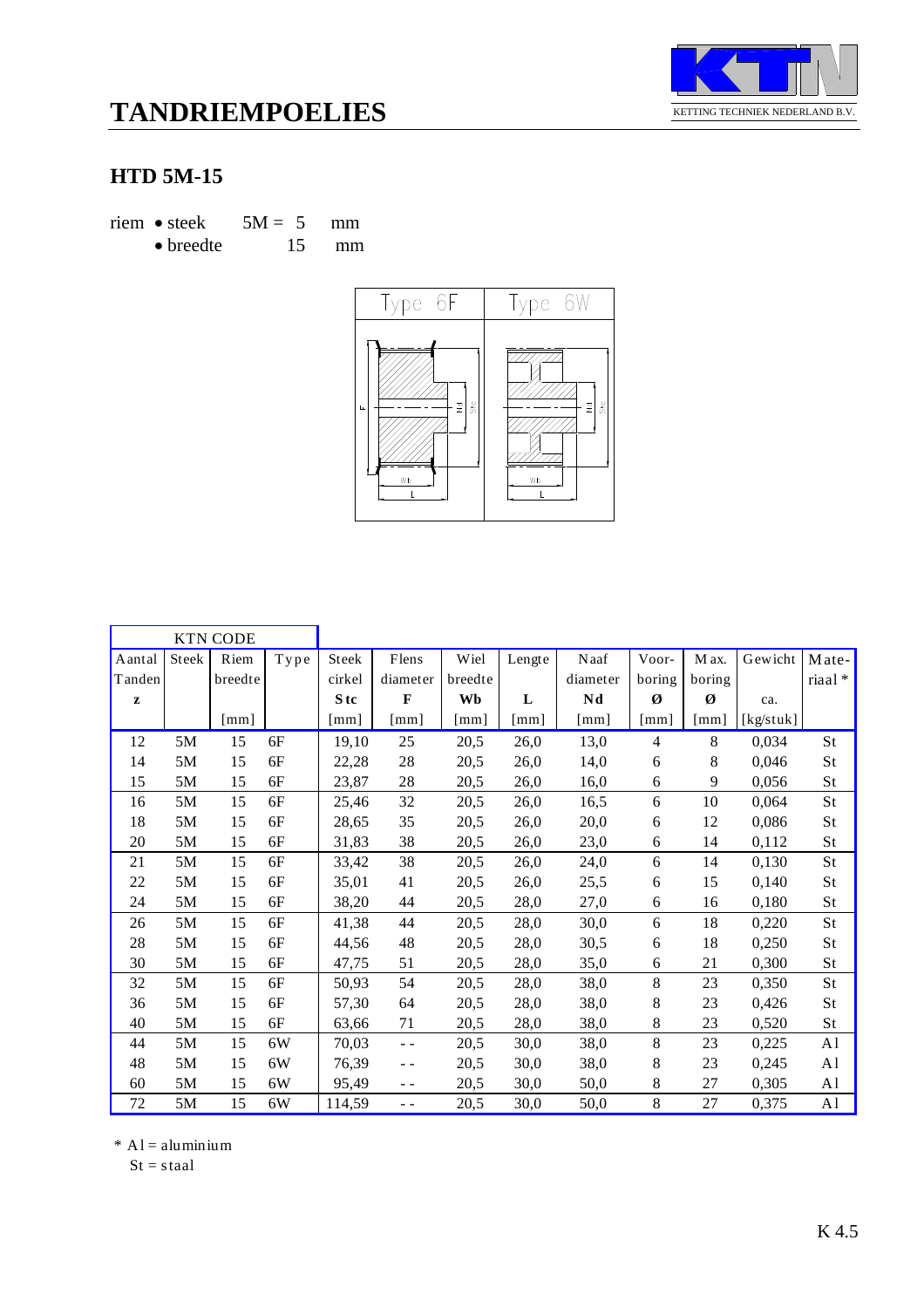

# **TANDRIEMPOELIES**

### **HTD 5M-15**

riem • steek  $5M = 5$  mm • breedte 15 mm





|        |       | <b>KTN CODE</b>      |                                   |                           |                      |         |                      |                           |                           |                           |           |                |
|--------|-------|----------------------|-----------------------------------|---------------------------|----------------------|---------|----------------------|---------------------------|---------------------------|---------------------------|-----------|----------------|
| Aantal | Steek | Riem                 | ${\bf T} {\bf y} {\bf p} {\bf e}$ | <b>Steek</b>              | Flens                | Wiel    | Lengte               | Naaf                      | Voor-                     | M ax.                     | Gewicht   | Mate-          |
| Tanden |       | breedte              |                                   | cirkel                    | diameter             | breedte |                      | diameter                  | boring                    | boring                    |           | riaal*         |
| z      |       |                      |                                   | S <sub>tc</sub>           | $\mathbf{F}$         | Wb      | L                    | Nd                        | Ø                         | Ø                         | ca.       |                |
|        |       | $\lceil$ mm $\rceil$ |                                   | $\lceil \text{mm} \rceil$ | $\lceil$ mm $\rceil$ | [mm]    | $\lceil$ mm $\rceil$ | $\lceil \text{mm} \rceil$ | $\lceil \text{mm} \rceil$ | $\lceil \text{mm} \rceil$ | [kg/stuk] |                |
| 12     | 5M    | 15                   | 6F                                | 19,10                     | 25                   | 20,5    | 26,0                 | 13,0                      | $\overline{4}$            | 8                         | 0,034     | St             |
| 14     | 5M    | 15                   | 6F                                | 22,28                     | 28                   | 20,5    | 26,0                 | 14,0                      | 6                         | 8                         | 0,046     | St             |
| 15     | 5M    | 15                   | 6F                                | 23,87                     | 28                   | 20,5    | 26,0                 | 16,0                      | 6                         | 9                         | 0,056     | St             |
| 16     | 5M    | 15                   | 6F                                | 25,46                     | 32                   | 20,5    | 26,0                 | 16,5                      | 6                         | 10                        | 0,064     | St             |
| 18     | 5M    | 15                   | 6F                                | 28,65                     | 35                   | 20,5    | 26,0                 | 20,0                      | 6                         | 12                        | 0,086     | St             |
| 20     | 5M    | 15                   | 6F                                | 31,83                     | 38                   | 20,5    | 26,0                 | 23,0                      | 6                         | 14                        | 0,112     | St             |
| 21     | 5M    | 15                   | 6F                                | 33,42                     | 38                   | 20,5    | 26,0                 | 24,0                      | 6                         | 14                        | 0,130     | St             |
| 22     | 5M    | 15                   | 6F                                | 35,01                     | 41                   | 20,5    | 26,0                 | 25,5                      | 6                         | 15                        | 0,140     | St             |
| 24     | 5M    | 15                   | 6F                                | 38,20                     | 44                   | 20,5    | 28,0                 | 27,0                      | 6                         | 16                        | 0,180     | St             |
| 26     | 5M    | 15                   | 6F                                | 41,38                     | 44                   | 20,5    | 28,0                 | 30,0                      | 6                         | 18                        | 0,220     | <b>St</b>      |
| 28     | 5M    | 15                   | 6F                                | 44,56                     | 48                   | 20,5    | 28,0                 | 30,5                      | 6                         | 18                        | 0,250     | St             |
| 30     | 5M    | 15                   | 6F                                | 47,75                     | 51                   | 20,5    | 28,0                 | 35,0                      | 6                         | 21                        | 0,300     | St             |
| 32     | 5M    | 15                   | 6F                                | 50,93                     | 54                   | 20,5    | 28,0                 | 38,0                      | 8                         | 23                        | 0,350     | St             |
| 36     | 5M    | 15                   | 6F                                | 57,30                     | 64                   | 20,5    | 28,0                 | 38,0                      | 8                         | 23                        | 0,426     | St             |
| 40     | 5M    | 15                   | 6F                                | 63,66                     | 71                   | 20,5    | 28,0                 | 38,0                      | 8                         | 23                        | 0,520     | St             |
| 44     | 5M    | 15                   | 6W                                | 70,03                     | - -                  | 20,5    | 30,0                 | 38,0                      | 8                         | 23                        | 0,225     | A <sub>1</sub> |
| 48     | 5M    | 15                   | 6W                                | 76,39                     | $ -$                 | 20,5    | 30,0                 | 38,0                      | 8                         | 23                        | 0,245     | A <sub>1</sub> |
| 60     | 5M    | 15                   | 6W                                | 95,49                     | $ -$                 | 20,5    | 30,0                 | 50,0                      | 8                         | 27                        | 0,305     | A <sub>1</sub> |
| 72     | 5M    | 15                   | 6W                                | 114,59                    | $\sim$ $\sim$        | 20,5    | 30,0                 | 50,0                      | 8                         | 27                        | 0,375     | A <sub>1</sub> |

 $*$  A l = aluminium

 $St = staal$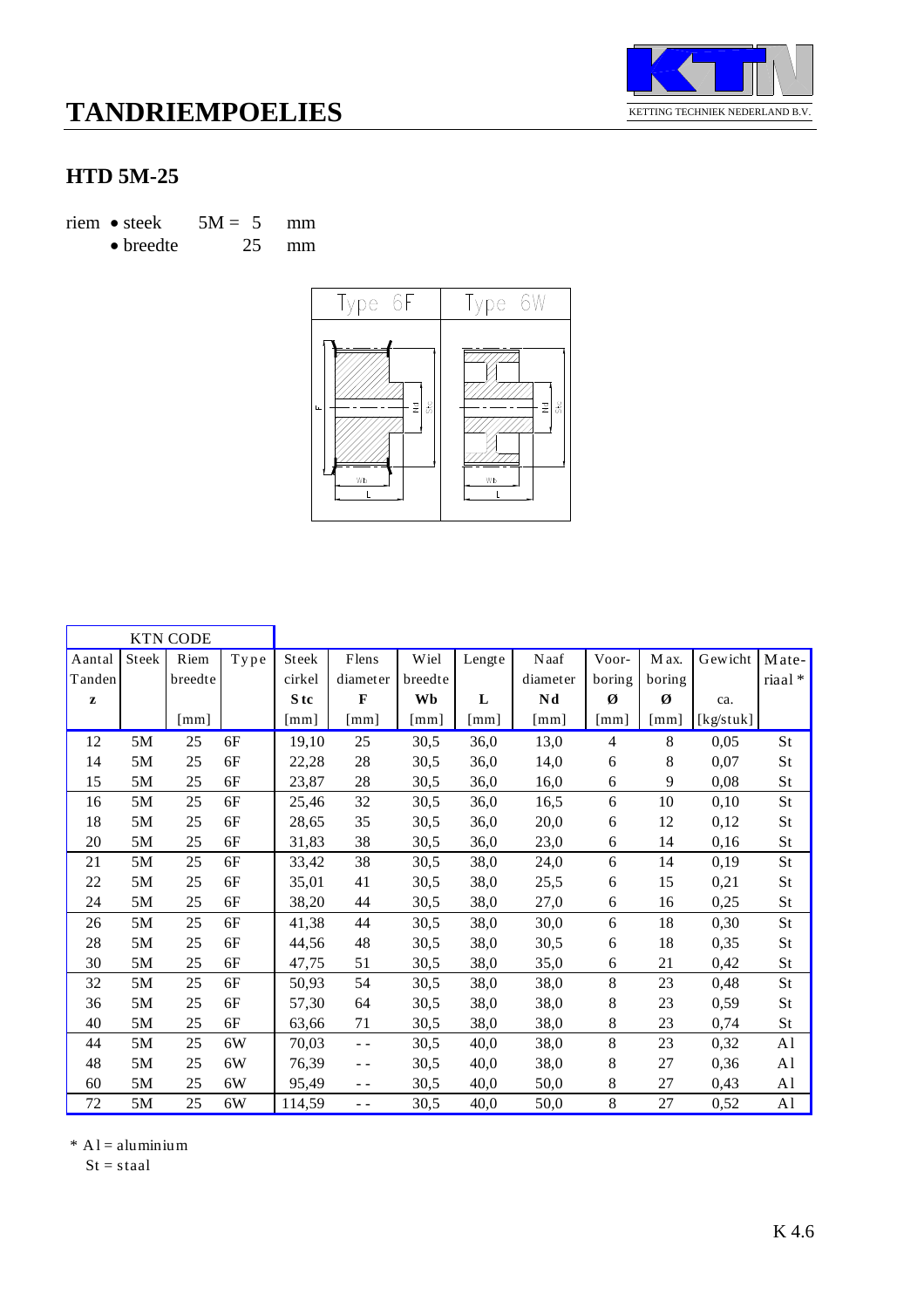

### **HTD 5M-25**

riem • steek  $5M = 5$  mm

• breedte 25 mm



|              |       | <b>KTN CODE</b> |                                   |        |              |         |              |              |                      |        |           |                |
|--------------|-------|-----------------|-----------------------------------|--------|--------------|---------|--------------|--------------|----------------------|--------|-----------|----------------|
| Aantal       | Steek | Riem            | ${\bf T} {\bf y} {\bf p} {\bf e}$ | Steek  | Flens        | Wiel    | Lengte       | Naaf         | Voor-                | M ax.  | Gewicht   | Mate-          |
| Tanden       |       | breedte         |                                   | cirkel | diameter     | breedte |              | diameter     | boring               | boring |           | riaal*         |
| $\mathbf{z}$ |       |                 |                                   | S tc   | $\mathbf{F}$ | Wb      | L            | Nd           | Ø                    | Ø      | ca.       |                |
|              |       | [mm]            |                                   | [mm]   | [mm]         | [mm]    | $\lceil$ mm] | $\lceil$ mm] | $\lceil$ mm $\rceil$ | [mm]   | [kg/stuk] |                |
| 12           | 5M    | 25              | 6F                                | 19,10  | 25           | 30,5    | 36,0         | 13,0         | $\overline{4}$       | 8      | 0,05      | St             |
| 14           | 5M    | 25              | 6F                                | 22,28  | $28\,$       | 30,5    | 36,0         | 14,0         | 6                    | 8      | 0,07      | St             |
| 15           | 5M    | 25              | 6F                                | 23,87  | 28           | 30,5    | 36,0         | 16,0         | 6                    | 9      | 0,08      | St             |
| 16           | 5M    | 25              | 6F                                | 25,46  | 32           | 30,5    | 36,0         | 16,5         | 6                    | 10     | 0,10      | St             |
| 18           | 5M    | 25              | 6F                                | 28,65  | 35           | 30,5    | 36,0         | 20,0         | 6                    | 12     | 0,12      | St             |
| 20           | 5M    | 25              | 6F                                | 31,83  | 38           | 30,5    | 36,0         | 23,0         | 6                    | 14     | 0,16      | St             |
| 21           | 5M    | 25              | 6F                                | 33,42  | 38           | 30,5    | 38,0         | 24,0         | 6                    | 14     | 0,19      | St             |
| 22           | 5M    | 25              | 6F                                | 35,01  | 41           | 30,5    | 38,0         | 25,5         | 6                    | 15     | 0,21      | St             |
| 24           | 5M    | 25              | 6F                                | 38,20  | 44           | 30,5    | 38,0         | 27,0         | 6                    | 16     | 0,25      | St             |
| 26           | 5M    | 25              | 6F                                | 41,38  | 44           | 30,5    | 38,0         | 30,0         | 6                    | 18     | 0,30      | St             |
| 28           | 5M    | 25              | 6F                                | 44,56  | 48           | 30,5    | 38,0         | 30,5         | 6                    | 18     | 0,35      | St             |
| 30           | 5M    | 25              | 6F                                | 47,75  | 51           | 30,5    | 38,0         | 35,0         | 6                    | 21     | 0,42      | St             |
| 32           | 5M    | 25              | 6F                                | 50,93  | 54           | 30,5    | 38,0         | 38,0         | 8                    | 23     | 0,48      | St             |
| 36           | 5M    | 25              | 6F                                | 57,30  | 64           | 30,5    | 38,0         | 38,0         | 8                    | 23     | 0,59      | St             |
| 40           | 5M    | 25              | 6F                                | 63,66  | 71           | 30,5    | 38,0         | 38,0         | 8                    | 23     | 0,74      | St             |
| 44           | 5M    | 25              | 6W                                | 70,03  | - -          | 30,5    | 40,0         | 38,0         | 8                    | 23     | 0,32      | A <sub>1</sub> |
| 48           | 5M    | 25              | 6W                                | 76,39  | $ -$         | 30,5    | 40,0         | 38,0         | 8                    | 27     | 0,36      | A <sub>1</sub> |
| 60           | 5M    | 25              | 6W                                | 95,49  | - -          | 30,5    | 40,0         | 50,0         | 8                    | 27     | 0,43      | A1             |
| 72           | 5M    | 25              | 6W                                | 114,59 | $ -$         | 30,5    | 40,0         | 50,0         | 8                    | 27     | 0,52      | A <sub>1</sub> |

 $*$  A l = aluminium

 $St = staal$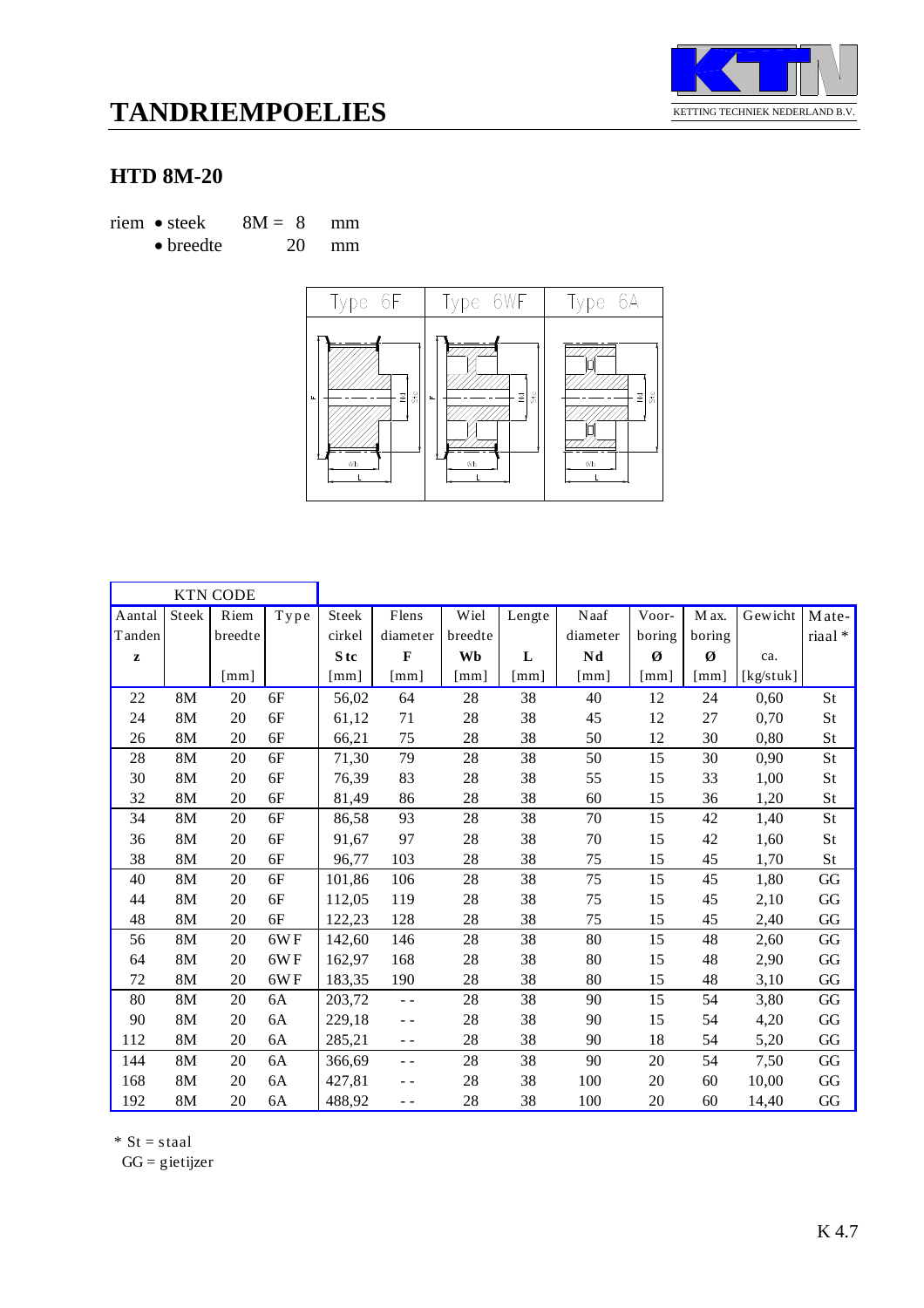

#### **HTD 8M-20**

riem • steek  $8M = 8$  mm • breedte 20 mm



|              |              | <b>KTN CODE</b>      |                |                      |                      |         |        |                      |                      |        |           |          |
|--------------|--------------|----------------------|----------------|----------------------|----------------------|---------|--------|----------------------|----------------------|--------|-----------|----------|
| Aantal       | <b>Steek</b> | Riem                 | ${\bf T}$ y pe | Steek                | Flens                | Wiel    | Lengte | Naaf                 | Voor-                | M ax.  | Gewicht   | Mate-    |
| Tanden       |              | breedte              |                | cirkel               | diameter             | breedte |        | diameter             | boring               | boring |           | riaal*   |
| $\mathbf{z}$ |              |                      |                | S <sub>tc</sub>      | $\mathbf F$          | Wb      | L      | Nd                   | Ø                    | Ø      | ca.       |          |
|              |              | $\lceil$ mm $\rceil$ |                | $\lceil$ mm $\rceil$ | $\lceil$ mm $\rceil$ | [mm]    | [mm]   | $\lceil$ mm $\rceil$ | $\lceil$ mm $\rceil$ | [mm]   | [kg/stuk] |          |
| 22           | 8M           | 20                   | 6F             | 56,02                | 64                   | 28      | 38     | 40                   | 12                   | 24     | 0,60      | St       |
| 24           | 8M           | 20                   | 6F             | 61,12                | 71                   | 28      | 38     | 45                   | 12                   | 27     | 0,70      | St       |
| 26           | 8M           | 20                   | 6F             | 66,21                | 75                   | 28      | 38     | 50                   | 12                   | 30     | 0,80      | St       |
| 28           | 8M           | 20                   | 6F             | 71,30                | 79                   | 28      | 38     | 50                   | 15                   | 30     | 0,90      | St       |
| 30           | 8M           | 20                   | 6F             | 76,39                | 83                   | 28      | 38     | 55                   | 15                   | 33     | 1,00      | St       |
| 32           | 8M           | 20                   | 6F             | 81,49                | 86                   | 28      | 38     | 60                   | 15                   | 36     | 1,20      | St       |
| 34           | 8M           | 20                   | 6F             | 86,58                | 93                   | 28      | 38     | 70                   | 15                   | 42     | 1,40      | St       |
| 36           | 8M           | 20                   | $6F$           | 91,67                | 97                   | 28      | 38     | 70                   | 15                   | 42     | 1,60      | St       |
| 38           | 8M           | 20                   | 6F             | 96,77                | 103                  | 28      | 38     | 75                   | 15                   | 45     | 1,70      | St       |
| 40           | 8M           | 20                   | 6F             | 101,86               | 106                  | 28      | 38     | 75                   | 15                   | 45     | 1,80      | GG       |
| 44           | 8M           | 20                   | 6F             | 112,05               | 119                  | 28      | 38     | 75                   | 15                   | 45     | 2,10      | GG       |
| 48           | 8M           | 20                   | 6F             | 122,23               | 128                  | 28      | 38     | 75                   | 15                   | 45     | 2,40      | GG       |
| 56           | 8M           | 20                   | 6WF            | 142,60               | 146                  | 28      | 38     | 80                   | 15                   | 48     | 2,60      | GG       |
| 64           | 8M           | 20                   | 6WF            | 162,97               | 168                  | 28      | 38     | 80                   | 15                   | 48     | 2,90      | GG       |
| 72           | 8M           | 20                   | 6WF            | 183,35               | 190                  | 28      | 38     | 80                   | 15                   | 48     | 3,10      | GG       |
| 80           | 8M           | 20                   | 6A             | 203,72               | $\sim$ $\sim$        | 28      | 38     | 90                   | 15                   | 54     | 3,80      | GG       |
| 90           | 8M           | 20                   | 6A             | 229,18               | $ -$                 | 28      | 38     | 90                   | 15                   | 54     | 4,20      | GG       |
| 112          | 8M           | 20                   | 6A             | 285,21               | $ -$                 | 28      | 38     | 90                   | 18                   | 54     | 5,20      | GG       |
| 144          | 8M           | 20                   | 6A             | 366,69               | $ -$                 | 28      | 38     | 90                   | 20                   | 54     | 7,50      | GG       |
| 168          | 8M           | 20                   | 6A             | 427,81               | - -                  | 28      | 38     | 100                  | 20                   | $60\,$ | 10,00     | $\rm GG$ |
| 192          | 8M           | 20                   | 6A             | 488,92               | - -                  | 28      | 38     | 100                  | 20                   | 60     | 14,40     | GG       |

 $*$  St = staal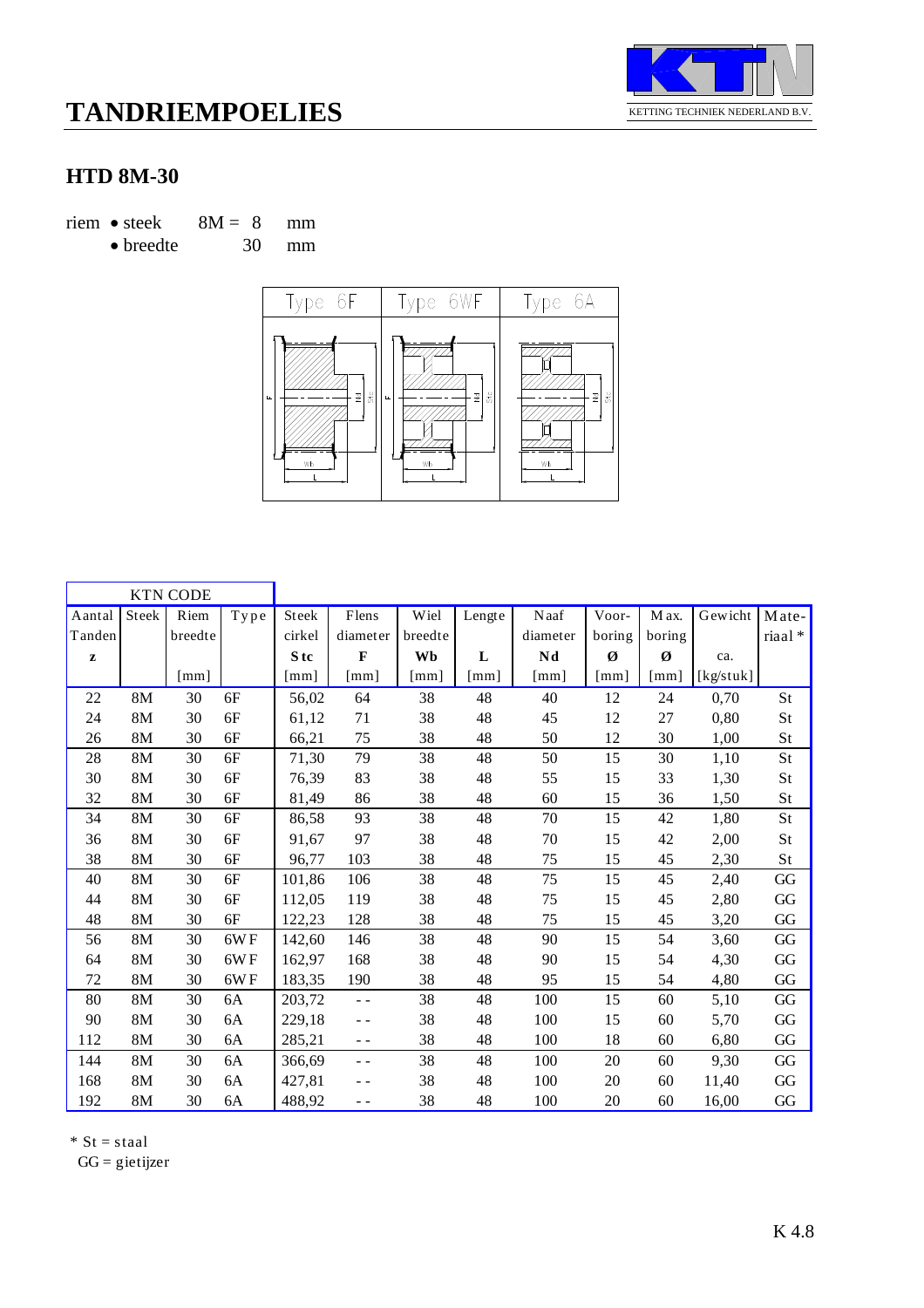

### **HTD 8M-30**

riem • steek  $8M = 8$  mm

• breedte 30 mm



|              |               | <b>KTN CODE</b> |                       |              |                      |              |                      |                      |                      |                      |           |           |
|--------------|---------------|-----------------|-----------------------|--------------|----------------------|--------------|----------------------|----------------------|----------------------|----------------------|-----------|-----------|
| Aantal       | Steek         | Riem            | $\operatorname{Type}$ | Steek        | Flens                | Wiel         | Lengte               | Naaf                 | Voor-                | M ax.                | Gewicht   | Mate-     |
| Tanden       |               | breedte         |                       | cirkel       | diameter             | breedte      |                      | diameter             | boring               | boring               |           | riaal*    |
| $\mathbf{z}$ |               |                 |                       | S tc         | $\mathbf{F}$         | Wb           | L                    | Nd                   | Ø                    | Ø                    | ca.       |           |
|              |               | [mm]            |                       | $\lceil$ mm] | $\lceil$ mm $\rceil$ | $\lceil$ mm] | $\lceil$ mm $\rceil$ | $\lceil$ mm $\rceil$ | $\lceil$ mm $\rceil$ | $\lceil$ mm $\rceil$ | [kg/stuk] |           |
| 22           | 8M            | 30              | 6F                    | 56,02        | 64                   | 38           | 48                   | 40                   | 12                   | 24                   | 0,70      | St        |
| 24           | 8M            | 30              | 6F                    | 61,12        | 71                   | 38           | 48                   | 45                   | 12                   | 27                   | 0,80      | St        |
| 26           | 8M            | 30              | 6F                    | 66,21        | 75                   | 38           | 48                   | 50                   | 12                   | 30                   | 1,00      | St        |
| 28           | 8M            | 30              | 6F                    | 71,30        | 79                   | 38           | 48                   | 50                   | 15                   | 30                   | 1,10      | St        |
| 30           | 8M            | 30              | 6F                    | 76,39        | 83                   | 38           | 48                   | 55                   | 15                   | 33                   | 1,30      | St        |
| 32           | 8M            | 30              | 6F                    | 81,49        | 86                   | 38           | 48                   | 60                   | 15                   | 36                   | 1,50      | St        |
| 34           | 8M            | 30              | $6F$                  | 86,58        | 93                   | 38           | 48                   | 70                   | 15                   | 42                   | 1,80      | St        |
| 36           | 8M            | 30              | 6F                    | 91,67        | 97                   | 38           | 48                   | 70                   | 15                   | 42                   | 2,00      | St        |
| 38           | 8M            | 30              | 6F                    | 96,77        | 103                  | 38           | 48                   | 75                   | 15                   | 45                   | 2,30      | <b>St</b> |
| 40           | 8M            | 30              | $6F$                  | 101,86       | 106                  | 38           | 48                   | 75                   | 15                   | 45                   | 2,40      | GG        |
| 44           | 8M            | 30              | 6F                    | 112,05       | 119                  | 38           | 48                   | 75                   | 15                   | 45                   | 2,80      | $\rm GG$  |
| 48           | 8M            | 30              | 6F                    | 122,23       | 128                  | 38           | 48                   | 75                   | 15                   | 45                   | 3,20      | $\rm GG$  |
| 56           | 8M            | 30              | 6WF                   | 142,60       | 146                  | 38           | 48                   | 90                   | 15                   | 54                   | 3,60      | GG        |
| 64           | 8M            | 30              | 6WF                   | 162,97       | 168                  | 38           | 48                   | 90                   | 15                   | 54                   | 4,30      | GG        |
| 72           | 8M            | 30              | 6WF                   | 183,35       | 190                  | 38           | 48                   | 95                   | 15                   | 54                   | 4,80      | GG        |
| 80           | 8M            | 30              | 6A                    | 203,72       | $\sim$ $\sim$        | 38           | 48                   | 100                  | 15                   | 60                   | 5,10      | GG        |
| 90           | 8M            | 30              | 6A                    | 229,18       | $ -$                 | 38           | 48                   | 100                  | 15                   | 60                   | 5,70      | GG        |
| 112          | 8M            | 30              | 6A                    | 285,21       | $ -$                 | 38           | 48                   | 100                  | 18                   | 60                   | 6,80      | GG        |
| 144          | 8M            | 30              | 6A                    | 366,69       | $ -$                 | 38           | 48                   | 100                  | 20                   | 60                   | 9,30      | GG        |
| 168          | $8\mathrm{M}$ | 30              | 6A                    | 427,81       | $ -$                 | 38           | 48                   | 100                  | 20                   | 60                   | 11,40     | GG        |
| 192          | 8M            | 30              | 6A                    | 488,92       | $ -$                 | 38           | 48                   | 100                  | 20                   | 60                   | 16,00     | GG        |

 $*$  St = staal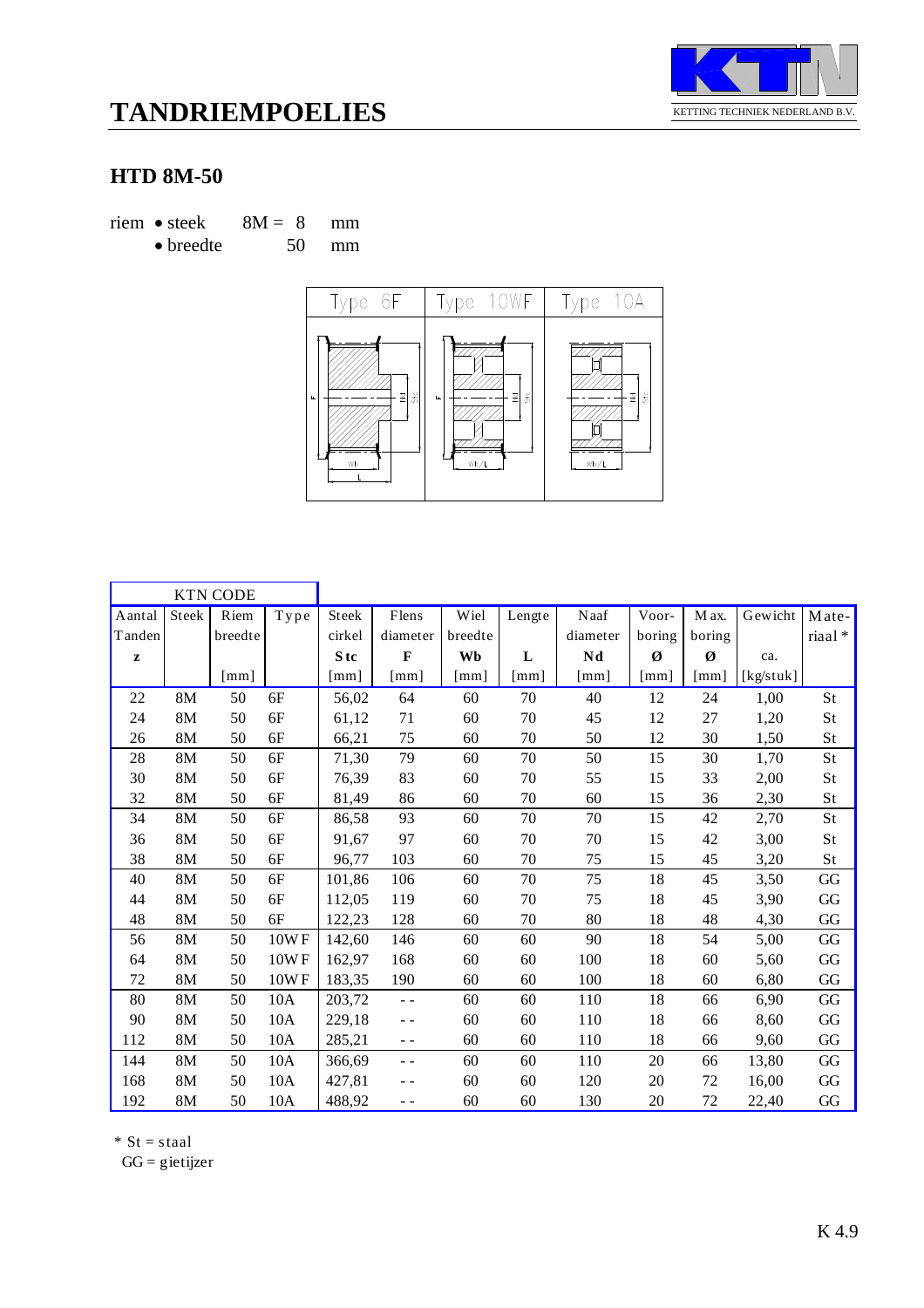

#### **HTD 8M-50**

riem • steek  $8M = 8$  mm • breedte 50 mm



|              |               | <b>KTN CODE</b>      |              |                 |               |         |        |                           |                      |        |           |                        |
|--------------|---------------|----------------------|--------------|-----------------|---------------|---------|--------|---------------------------|----------------------|--------|-----------|------------------------|
| Aantal       | Steek         | Riem                 | ${\bf Type}$ | Steek           | Flens         | Wiel    | Lengte | Naaf                      | Voor-                | M ax.  | Gewicht   | Mate-                  |
| Tanden       |               | breedte              |              | cirkel          | diameter      | breedte |        | diameter                  | boring               | boring |           | riaal*                 |
| $\mathbf{z}$ |               |                      |              | S <sub>tc</sub> | $\mathbf{F}$  | Wb      | L      | Nd                        | Ø                    | Ø      | ca.       |                        |
|              |               | $\lceil$ mm $\rceil$ |              | [mm]            | [mm]          | [mm]    | [mm]   | $\lceil \text{mm} \rceil$ | $\lceil$ mm $\rceil$ | [mm]   | [kg/stuk] |                        |
| 22           | 8M            | 50                   | 6F           | 56,02           | 64            | 60      | 70     | 40                        | 12                   | 24     | 1,00      | St                     |
| 24           | <b>8M</b>     | 50                   | 6F           | 61,12           | 71            | 60      | $70\,$ | 45                        | 12                   | 27     | 1,20      | St                     |
| 26           | 8M            | 50                   | 6F           | 66,21           | 75            | 60      | 70     | 50                        | 12                   | 30     | 1,50      | St                     |
| 28           | 8M            | 50                   | 6F           | 71,30           | 79            | 60      | 70     | 50                        | 15                   | 30     | 1,70      | St                     |
| 30           | 8M            | 50                   | 6F           | 76,39           | 83            | 60      | $70\,$ | 55                        | 15                   | 33     | 2,00      | St                     |
| 32           | 8M            | 50                   | 6F           | 81,49           | 86            | 60      | $70\,$ | 60                        | 15                   | 36     | 2,30      | St                     |
| 34           | 8M            | 50                   | 6F           | 86,58           | 93            | 60      | 70     | 70                        | 15                   | 42     | 2,70      | St                     |
| 36           | 8M            | 50                   | 6F           | 91,67           | 97            | 60      | 70     | 70                        | 15                   | 42     | 3,00      | St                     |
| 38           | 8M            | 50                   | 6F           | 96,77           | 103           | 60      | 70     | 75                        | 15                   | 45     | 3,20      | St                     |
| 40           | 8M            | 50                   | 6F           | 101,86          | 106           | 60      | $70\,$ | 75                        | 18                   | 45     | 3,50      | $\mathbf{G}\mathbf{G}$ |
| 44           | 8M            | 50                   | 6F           | 112,05          | 119           | 60      | 70     | 75                        | 18                   | 45     | 3,90      | GG                     |
| 48           | 8M            | 50                   | 6F           | 122,23          | 128           | 60      | 70     | 80                        | 18                   | 48     | 4,30      | GG                     |
| 56           | 8M            | 50                   | 10WF         | 142,60          | 146           | 60      | 60     | 90                        | 18                   | 54     | 5,00      | GG                     |
| 64           | 8M            | 50                   | 10WF         | 162,97          | 168           | 60      | 60     | 100                       | 18                   | 60     | 5,60      | GG                     |
| 72           | 8M            | 50                   | 10WF         | 183,35          | 190           | 60      | 60     | 100                       | 18                   | 60     | 6,80      | GG                     |
| 80           | 8M            | 50                   | 10A          | 203,72          | $\sim$ $\sim$ | 60      | 60     | 110                       | 18                   | 66     | 6,90      | $\mathbf{G}\mathbf{G}$ |
| 90           | 8M            | 50                   | 10A          | 229,18          | $ -$          | 60      | 60     | 110                       | 18                   | 66     | 8,60      | GG                     |
| 112          | 8M            | 50                   | 10A          | 285,21          | $ -$          | 60      | 60     | 110                       | 18                   | 66     | 9,60      | GG                     |
| 144          | 8M            | 50                   | 10A          | 366,69          | - -           | 60      | 60     | 110                       | 20                   | 66     | 13,80     | $\rm GG$               |
| 168          | 8M            | 50                   | 10A          | 427,81          | - -           | 60      | 60     | 120                       | 20                   | 72     | 16,00     | $\rm GG$               |
| 192          | $8\mathrm{M}$ | 50                   | 10A          | 488,92          | $ -$          | 60      | 60     | 130                       | 20                   | 72     | 22,40     | GG                     |

 $*$  St = staal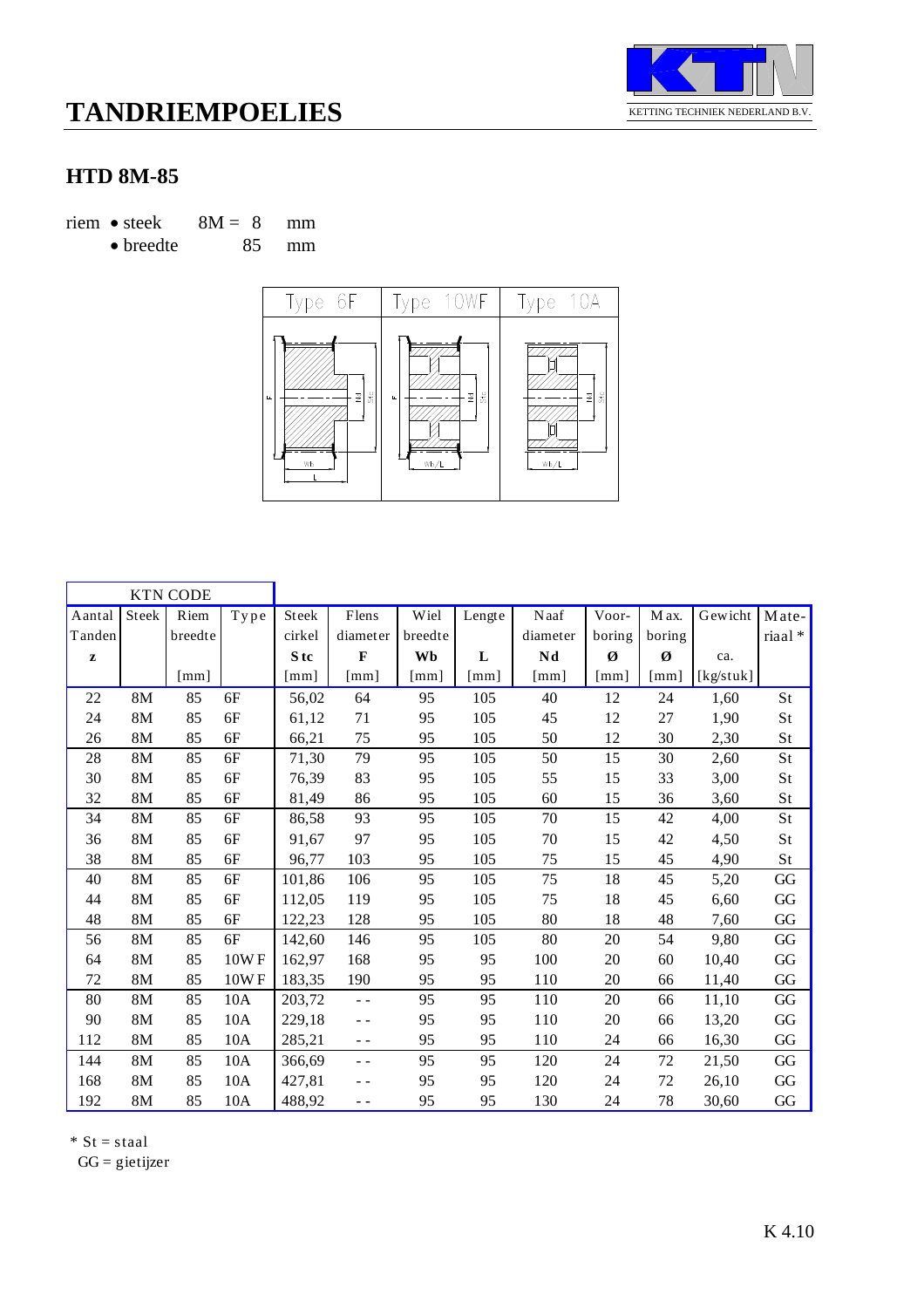

### **HTD 8M-85**

riem • steek  $8M = 8$  mm

• breedte 85 mm



|              |       | <b>KTN CODE</b>           |                       |        |              |                           |                      |                      |                           |        |           |        |
|--------------|-------|---------------------------|-----------------------|--------|--------------|---------------------------|----------------------|----------------------|---------------------------|--------|-----------|--------|
| Aantal       | Steek | Riem                      | $\operatorname{Type}$ | Steek  | Flens        | Wiel                      | Lengte               | Naaf                 | Voor-                     | M ax.  | Gewicht   | Mate-  |
| Tanden       |       | breedte                   |                       | cirkel | diameter     | breedte                   |                      | diameter             | boring                    | boring |           | riaal* |
| $\mathbf{z}$ |       |                           |                       | S tc   | $\mathbf{F}$ | Wb                        | L                    | Nd                   | Ø                         | Ø      | ca.       |        |
|              |       | $\lceil \text{mm} \rceil$ |                       | [mm]   | [mm]         | $\lceil \text{mm} \rceil$ | $\lceil$ mm $\rceil$ | $\lceil$ mm $\rceil$ | $\lceil \text{mm} \rceil$ | [mm]   | [kg/stuk] |        |
| 22           | 8M    | 85                        | 6F                    | 56,02  | 64           | 95                        | 105                  | 40                   | 12                        | 24     | 1,60      | St     |
| 24           | 8M    | 85                        | 6F                    | 61,12  | 71           | 95                        | 105                  | 45                   | 12                        | 27     | 1,90      | St     |
| 26           | 8M    | 85                        | 6F                    | 66,21  | 75           | 95                        | 105                  | 50                   | 12                        | 30     | 2,30      | St     |
| 28           | 8M    | 85                        | 6F                    | 71,30  | 79           | 95                        | 105                  | 50                   | 15                        | 30     | 2,60      | St     |
| 30           | 8M    | 85                        | 6F                    | 76,39  | 83           | 95                        | 105                  | 55                   | 15                        | 33     | 3,00      | St     |
| 32           | 8M    | 85                        | 6F                    | 81,49  | 86           | 95                        | 105                  | 60                   | 15                        | 36     | 3,60      | St     |
| 34           | 8M    | 85                        | $6F$                  | 86,58  | 93           | 95                        | 105                  | 70                   | 15                        | 42     | 4,00      | St     |
| 36           | 8M    | 85                        | 6F                    | 91,67  | 97           | 95                        | 105                  | 70                   | 15                        | 42     | 4,50      | St     |
| 38           | 8M    | 85                        | 6F                    | 96,77  | 103          | 95                        | 105                  | 75                   | 15                        | 45     | 4,90      | St     |
| 40           | 8M    | 85                        | 6F                    | 101,86 | 106          | 95                        | 105                  | 75                   | 18                        | 45     | 5,20      | GG     |
| 44           | 8M    | 85                        | 6F                    | 112,05 | 119          | 95                        | 105                  | 75                   | 18                        | 45     | 6,60      | GG     |
| 48           | 8M    | 85                        | 6F                    | 122,23 | 128          | 95                        | 105                  | 80                   | 18                        | 48     | 7,60      | GG     |
| 56           | 8M    | 85                        | 6F                    | 142,60 | 146          | 95                        | 105                  | 80                   | 20                        | 54     | 9,80      | GG     |
| 64           | 8M    | 85                        | 10WF                  | 162,97 | 168          | 95                        | 95                   | 100                  | 20                        | 60     | 10,40     | GG     |
| 72           | 8M    | 85                        | 10WF                  | 183,35 | 190          | 95                        | 95                   | 110                  | 20                        | 66     | 11,40     | GG     |
| 80           | 8M    | 85                        | 10A                   | 203,72 | - -          | 95                        | 95                   | 110                  | 20                        | 66     | 11,10     | GG     |
| 90           | 8M    | 85                        | 10A                   | 229,18 | $- -$        | 95                        | 95                   | 110                  | 20                        | 66     | 13,20     | GG     |
| 112          | 8M    | 85                        | 10A                   | 285,21 | $ -$         | 95                        | 95                   | 110                  | 24                        | 66     | 16,30     | GG     |
| 144          | 8M    | 85                        | 10A                   | 366,69 | - -          | 95                        | 95                   | 120                  | 24                        | 72     | 21,50     | GG     |
| 168          | 8M    | 85                        | 10A                   | 427,81 | - -          | 95                        | 95                   | 120                  | 24                        | 72     | 26,10     | GG     |
| 192          | 8M    | 85                        | 10A                   | 488,92 | - -          | 95                        | 95                   | 130                  | 24                        | 78     | 30,60     | GG     |

 $*$  St = staal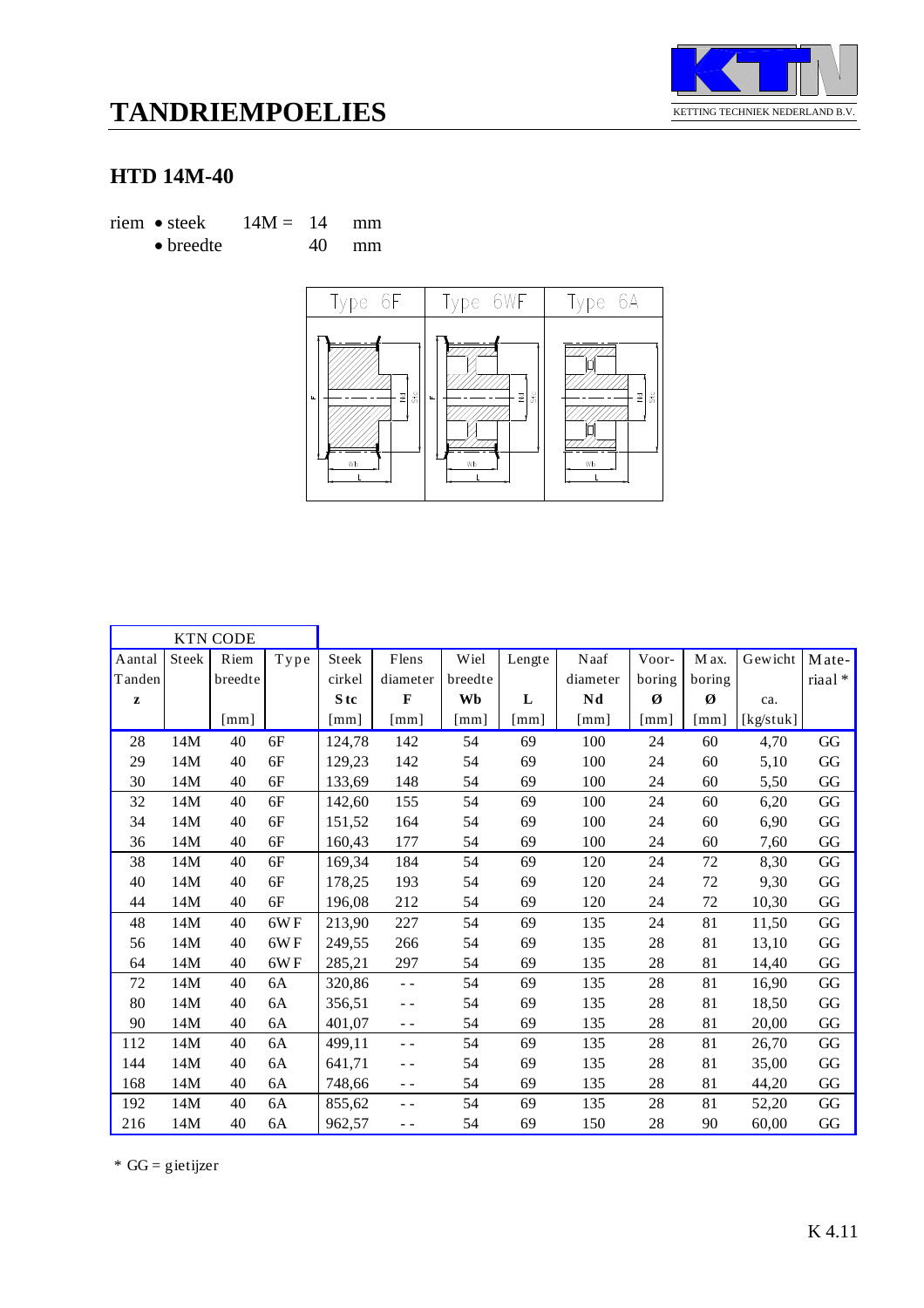

### **HTD 14M-40**

riem • steek  $14M = 14$  mm • breedte 40 mm



|              |       | <b>KTN CODE</b>           |                |                 |                      |         |                      |                      |                           |                      |           |                        |
|--------------|-------|---------------------------|----------------|-----------------|----------------------|---------|----------------------|----------------------|---------------------------|----------------------|-----------|------------------------|
| Aantal       | Steek | Riem                      | ${\bf T}$ y pe | Steek           | Flens                | Wiel    | Lengte               | Naaf                 | Voor-                     | M ax.                | Gewicht   | Mate-                  |
| Tanden       |       | breedte                   |                | cirkel          | diameter             | breedte |                      | diameter             | boring                    | boring               |           | riaal*                 |
| $\mathbf{z}$ |       |                           |                | S <sub>tc</sub> | $\mathbf{F}$         | Wb      | L                    | Nd                   | Ø                         | Ø                    | ca.       |                        |
|              |       | $\lceil \text{mm} \rceil$ |                | $\lceil$ mm]    | $\lceil$ mm $\rceil$ | [mm]    | $\lceil$ mm $\rceil$ | $\lceil$ mm $\rceil$ | $\lceil \text{mm} \rceil$ | $\lceil$ mm $\rceil$ | [kg/stuk] |                        |
| 28           | 14M   | 40                        | 6F             | 124,78          | 142                  | 54      | 69                   | 100                  | 24                        | 60                   | 4,70      | GG                     |
| 29           | 14M   | 40                        | 6F             | 129,23          | 142                  | 54      | 69                   | 100                  | 24                        | 60                   | 5,10      | GG                     |
| 30           | 14M   | 40                        | 6F             | 133,69          | 148                  | 54      | 69                   | 100                  | 24                        | 60                   | 5,50      | GG                     |
| 32           | 14M   | 40                        | 6F             | 142,60          | 155                  | 54      | 69                   | 100                  | 24                        | 60                   | 6,20      | GG                     |
| 34           | 14M   | 40                        | 6F             | 151,52          | 164                  | 54      | 69                   | 100                  | 24                        | 60                   | 6,90      | $\mathbf{G}\mathbf{G}$ |
| 36           | 14M   | 40                        | 6F             | 160,43          | 177                  | 54      | 69                   | 100                  | 24                        | 60                   | 7,60      | GG                     |
| 38           | 14M   | 40                        | 6F             | 169,34          | 184                  | 54      | 69                   | 120                  | 24                        | $72\,$               | 8,30      | $\mathbf{G}\mathbf{G}$ |
| 40           | 14M   | 40                        | 6F             | 178,25          | 193                  | 54      | 69                   | 120                  | 24                        | 72                   | 9,30      | $\rm GG$               |
| 44           | 14M   | 40                        | 6F             | 196,08          | 212                  | 54      | 69                   | 120                  | 24                        | 72                   | 10,30     | $\rm GG$               |
| 48           | 14M   | 40                        | 6WF            | 213,90          | 227                  | 54      | 69                   | 135                  | 24                        | 81                   | 11,50     | $\rm GG$               |
| 56           | 14M   | 40                        | 6WF            | 249.55          | 266                  | 54      | 69                   | 135                  | 28                        | 81                   | 13,10     | GG                     |
| 64           | 14M   | 40                        | 6WF            | 285,21          | 297                  | 54      | 69                   | 135                  | 28                        | 81                   | 14,40     | GG                     |
| 72           | 14M   | 40                        | 6A             | 320,86          | $\sim$ $\sim$        | 54      | 69                   | 135                  | 28                        | 81                   | 16,90     | GG                     |
| 80           | 14M   | 40                        | 6A             | 356,51          | $\sim$ $\sim$        | 54      | 69                   | 135                  | 28                        | 81                   | 18,50     | GG                     |
| 90           | 14M   | 40                        | 6A             | 401,07          | $ -$                 | 54      | 69                   | 135                  | 28                        | 81                   | 20,00     | GG                     |
| 112          | 14M   | 40                        | 6A             | 499,11          | $\sim$ $\sim$        | 54      | 69                   | 135                  | 28                        | 81                   | 26,70     | GG                     |
| 144          | 14M   | 40                        | 6A             | 641,71          | $ -$                 | 54      | 69                   | 135                  | 28                        | 81                   | 35,00     | GG                     |
| 168          | 14M   | 40                        | 6A             | 748,66          | $ -$                 | 54      | 69                   | 135                  | 28                        | 81                   | 44,20     | GG                     |
| 192          | 14M   | 40                        | 6A             | 855,62          | $ -$                 | 54      | 69                   | 135                  | 28                        | 81                   | 52,20     | GG                     |
| 216          | 14M   | 40                        | 6A             | 962,57          | $ -$                 | 54      | 69                   | 150                  | 28                        | 90                   | 60,00     | GG                     |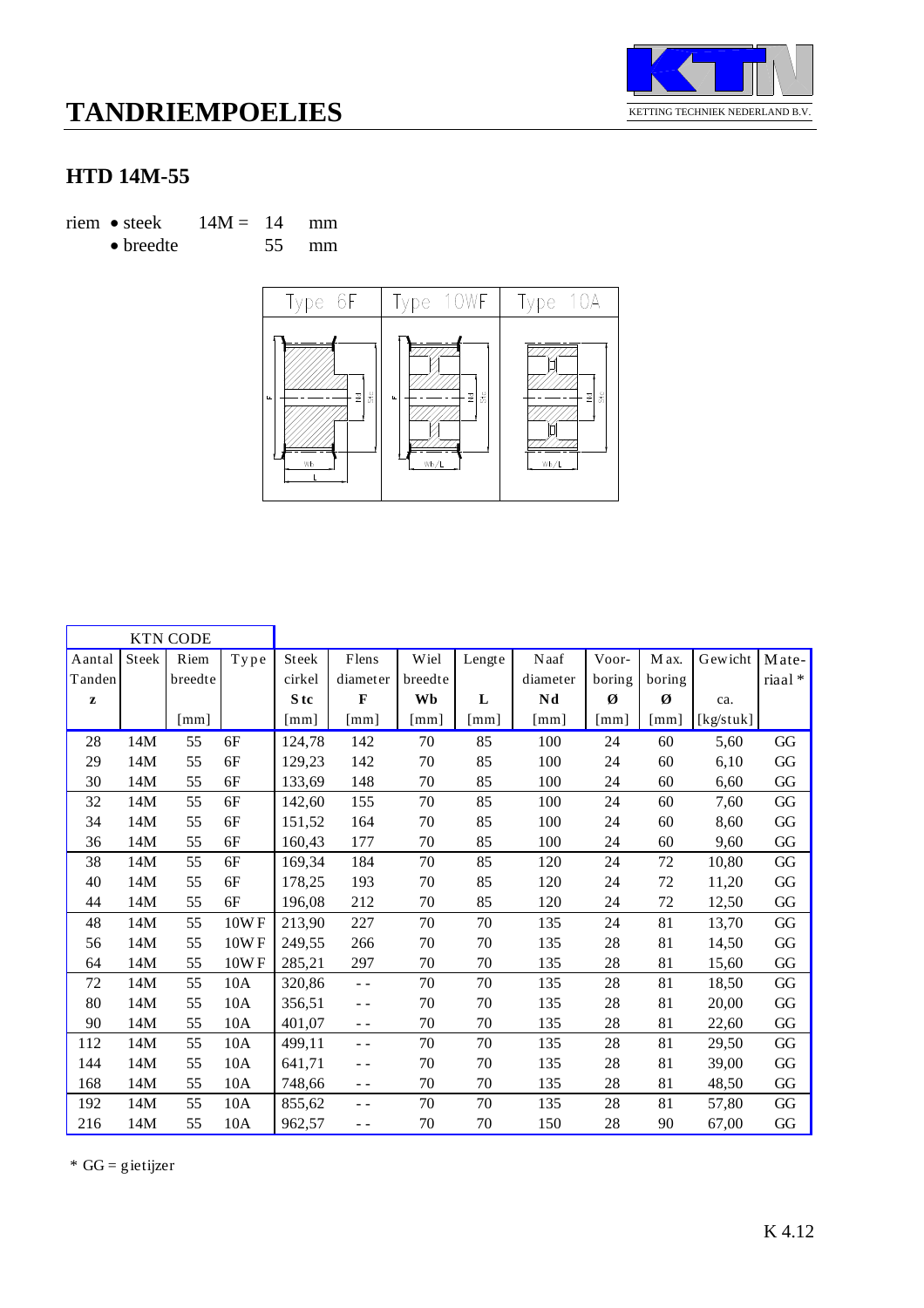

### **HTD 14M-55**

riem • steek  $14M = 14$  mm

• breedte 55 mm



|              |       | <b>KTN CODE</b>           |              |        |                      |         |                      |                           |                      |                      |           |                        |
|--------------|-------|---------------------------|--------------|--------|----------------------|---------|----------------------|---------------------------|----------------------|----------------------|-----------|------------------------|
| Aantal       | Steek | Riem                      | ${\bf Type}$ | Steek  | $\rm{Flens}$         | Wiel    | Lengte               | Naaf                      | Voor-                | M ax.                | Gewicht   | Mate-                  |
| Tanden       |       | breedte                   |              | cirkel | diameter             | breedte |                      | diameter                  | boring               | boring               |           | riaal*                 |
| $\mathbf{z}$ |       |                           |              | S tc   | F                    | Wb      | L                    | Nd                        | Ø                    | Ø                    | ca.       |                        |
|              |       | $\lceil \text{mm} \rceil$ |              | [mm]   | $\lceil$ mm $\rceil$ | [mm]    | $\lceil$ mm $\rceil$ | $\lceil \text{mm} \rceil$ | $\lceil$ mm $\rceil$ | $\lceil$ mm $\rceil$ | [kg/stuk] |                        |
| 28           | 14M   | 55                        | 6F           | 124,78 | 142                  | 70      | 85                   | 100                       | 24                   | 60                   | 5,60      | GG                     |
| 29           | 14M   | 55                        | 6F           | 129,23 | 142                  | 70      | 85                   | 100                       | 24                   | 60                   | 6,10      | GG                     |
| 30           | 14M   | 55                        | 6F           | 133,69 | 148                  | 70      | 85                   | 100                       | 24                   | 60                   | 6,60      | GG                     |
| 32           | 14M   | 55                        | 6F           | 142,60 | 155                  | 70      | 85                   | 100                       | 24                   | 60                   | 7,60      | GG                     |
| 34           | 14M   | 55                        | 6F           | 151,52 | 164                  | 70      | 85                   | 100                       | 24                   | 60                   | 8,60      | GG                     |
| 36           | 14M   | 55                        | 6F           | 160,43 | 177                  | 70      | 85                   | 100                       | 24                   | 60                   | 9,60      | GG                     |
| 38           | 14M   | 55                        | 6F           | 169,34 | 184                  | 70      | 85                   | 120                       | 24                   | 72                   | 10,80     | GG                     |
| 40           | 14M   | 55                        | 6F           | 178,25 | 193                  | 70      | 85                   | 120                       | 24                   | 72                   | 11,20     | GG                     |
| 44           | 14M   | 55                        | 6F           | 196,08 | 212                  | 70      | 85                   | 120                       | 24                   | 72                   | 12,50     | GG                     |
| 48           | 14M   | 55                        | 10WF         | 213,90 | 227                  | 70      | $70\,$               | 135                       | 24                   | 81                   | 13,70     | GG                     |
| 56           | 14M   | 55                        | 10WF         | 249,55 | 266                  | 70      | 70                   | 135                       | 28                   | 81                   | 14,50     | GG                     |
| 64           | 14M   | 55                        | 10WF         | 285,21 | 297                  | 70      | 70                   | 135                       | 28                   | 81                   | 15,60     | GG                     |
| 72           | 14M   | 55                        | 10A          | 320,86 | $\sim$ $\sim$        | 70      | 70                   | 135                       | 28                   | 81                   | 18,50     | GG                     |
| 80           | 14M   | 55                        | 10A          | 356,51 | - -                  | 70      | 70                   | 135                       | 28                   | 81                   | 20,00     | $\mathbf{G}\mathbf{G}$ |
| 90           | 14M   | 55                        | 10A          | 401,07 | $ -$                 | 70      | 70                   | 135                       | 28                   | 81                   | 22,60     | $\mathbf{G}\mathbf{G}$ |
| 112          | 14M   | 55                        | 10A          | 499,11 | - -                  | 70      | 70                   | 135                       | 28                   | 81                   | 29,50     | $\mathbf{G}\mathbf{G}$ |
| 144          | 14M   | 55                        | 10A          | 641,71 | $ -$                 | 70      | $70\,$               | 135                       | 28                   | 81                   | 39,00     | GG                     |
| 168          | 14M   | 55                        | 10A          | 748,66 | $ -$                 | 70      | 70                   | 135                       | 28                   | 81                   | 48,50     | $\mathbf{G}\mathbf{G}$ |
| 192          | 14M   | 55                        | 10A          | 855,62 | $\sim$ $\sim$        | 70      | 70                   | 135                       | 28                   | 81                   | 57,80     | GG                     |
| 216          | 14M   | 55                        | 10A          | 962,57 | - -                  | 70      | 70                   | 150                       | 28                   | 90                   | 67,00     | GG                     |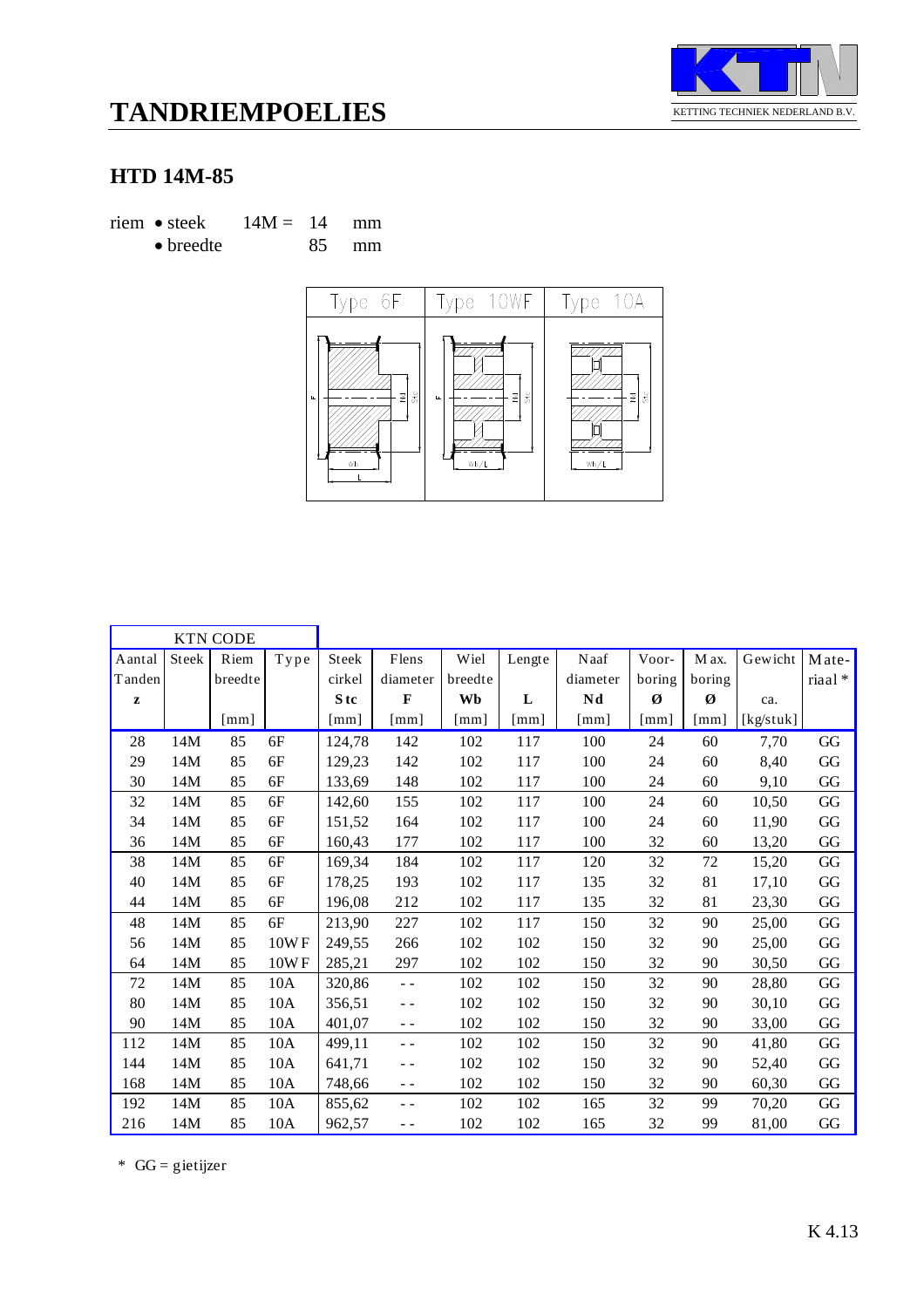

### **HTD 14M-85**

riem • steek  $14M = 14$  mm • breedte 85 mm



| <b>KTN CODE</b> |       |                      |                |                      |                      |              |                    |                      |                      |                      |           |          |
|-----------------|-------|----------------------|----------------|----------------------|----------------------|--------------|--------------------|----------------------|----------------------|----------------------|-----------|----------|
| Aantal          | Steek | Riem                 | ${\bf T}$ y pe | Steek                | Flens                | Wiel         | Lengte             | Naaf                 | Voor-                | M ax.                | Gewicht   | Mate-    |
| Tanden          |       | breedte              |                | cirkel               | diameter             | breedte      |                    | diameter             | boring               | boring               |           | riaal*   |
| $\mathbf{z}$    |       |                      |                | S <sub>tc</sub>      | $\mathbf{F}$         | Wb           | L                  | Nd                   | Ø                    | Ø                    | ca.       |          |
|                 |       | $\lceil$ mm $\rceil$ |                | $\lceil$ mm $\rceil$ | $\lceil$ mm $\rceil$ | $\lceil$ mm] | $\lceil mm \rceil$ | $\lceil$ mm $\rceil$ | $\lceil$ mm $\rceil$ | $\lceil$ mm $\rceil$ | [kg/stuk] |          |
| 28              | 14M   | 85                   | 6F             | 124,78               | 142                  | 102          | 117                | 100                  | 24                   | 60                   | 7,70      | GG       |
| 29              | 14M   | 85                   | 6F             | 129,23               | 142                  | 102          | 117                | 100                  | 24                   | 60                   | 8,40      | GG       |
| 30              | 14M   | 85                   | 6F             | 133,69               | 148                  | 102          | 117                | 100                  | 24                   | 60                   | 9,10      | GG       |
| 32              | 14M   | 85                   | 6F             | 142,60               | 155                  | 102          | 117                | 100                  | 24                   | 60                   | 10,50     | GG       |
| 34              | 14M   | 85                   | 6F             | 151,52               | 164                  | 102          | 117                | 100                  | 24                   | 60                   | 11,90     | GG       |
| 36              | 14M   | 85                   | 6F             | 160,43               | 177                  | 102          | 117                | 100                  | 32                   | 60                   | 13,20     | GG       |
| 38              | 14M   | 85                   | 6F             | 169,34               | 184                  | 102          | 117                | 120                  | 32                   | 72                   | 15,20     | $\rm GG$ |
| 40              | 14M   | 85                   | 6F             | 178,25               | 193                  | 102          | 117                | 135                  | 32                   | 81                   | 17,10     | GG       |
| 44              | 14M   | 85                   | 6F             | 196,08               | 212                  | 102          | 117                | 135                  | 32                   | 81                   | 23,30     | GG       |
| 48              | 14M   | 85                   | 6F             | 213,90               | 227                  | 102          | 117                | 150                  | 32                   | 90                   | 25,00     | GG       |
| 56              | 14M   | 85                   | 10WF           | 249.55               | 266                  | 102          | 102                | 150                  | 32                   | 90                   | 25,00     | GG       |
| 64              | 14M   | 85                   | 10WF           | 285,21               | 297                  | 102          | 102                | 150                  | 32                   | 90                   | 30,50     | GG       |
| 72              | 14M   | 85                   | 10A            | 320,86               | $\sim$ $\sim$        | 102          | 102                | 150                  | 32                   | 90                   | 28,80     | GG       |
| 80              | 14M   | 85                   | 10A            | 356,51               | $\sim$ $\sim$        | 102          | 102                | 150                  | 32                   | 90                   | 30,10     | GG       |
| 90              | 14M   | 85                   | 10A            | 401,07               | $ -$                 | 102          | 102                | 150                  | 32                   | 90                   | 33,00     | GG       |
| 112             | 14M   | 85                   | 10A            | 499,11               | $\sim$ $\sim$        | 102          | 102                | 150                  | 32                   | 90                   | 41,80     | GG       |
| 144             | 14M   | 85                   | 10A            | 641,71               | $\blacksquare$       | 102          | 102                | 150                  | 32                   | 90                   | 52,40     | GG       |
| 168             | 14M   | 85                   | 10A            | 748,66               | $ -$                 | 102          | 102                | 150                  | 32                   | 90                   | 60,30     | GG       |
| 192             | 14M   | 85                   | 10A            | 855,62               | $\blacksquare$       | 102          | 102                | 165                  | 32                   | 99                   | 70,20     | GG       |
| 216             | 14M   | 85                   | 10A            | 962,57               | $ -$                 | 102          | 102                | 165                  | 32                   | 99                   | 81,00     | GG       |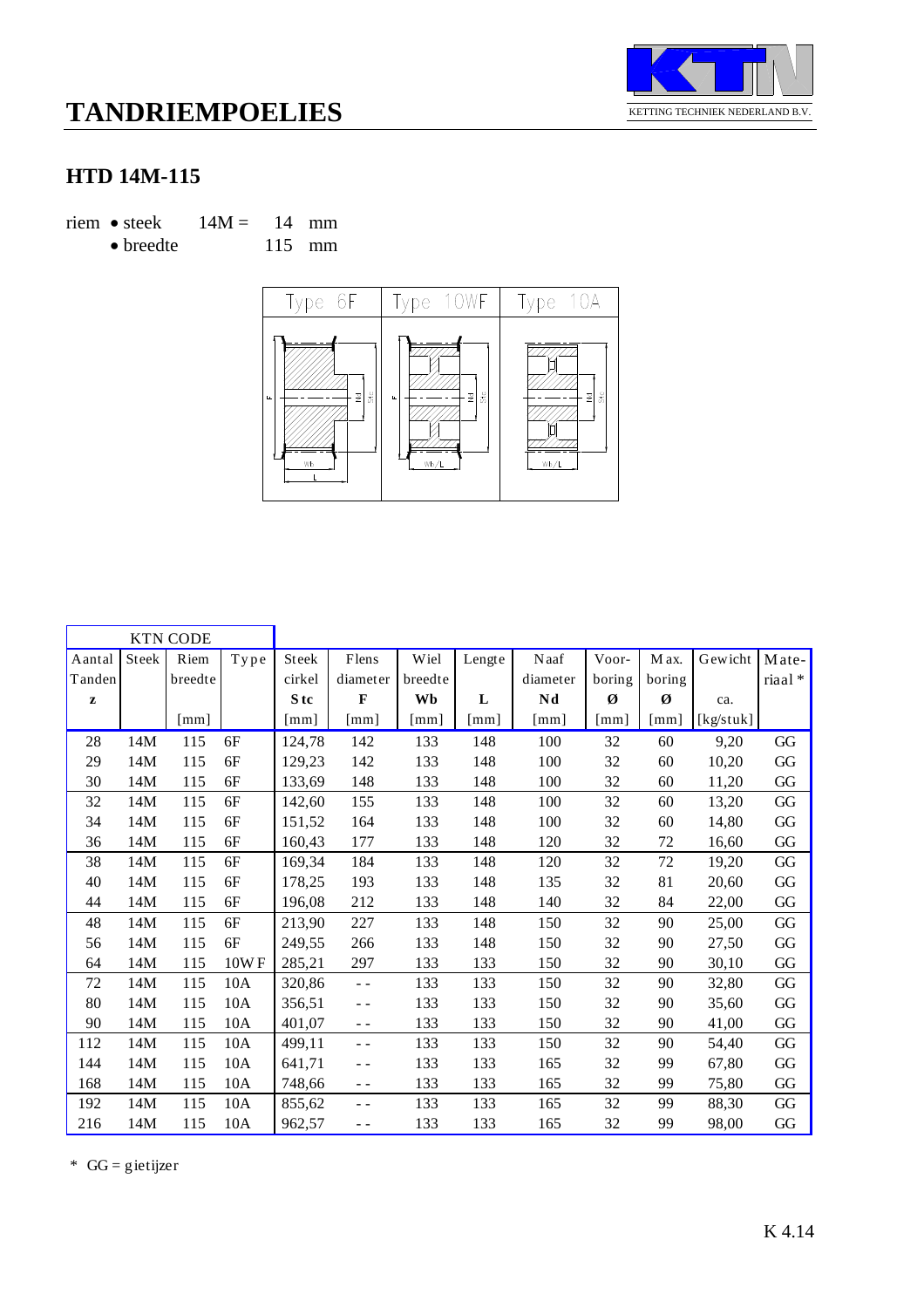

#### **HTD 14M-115**

riem • steek  $14M = 14$  mm

• breedte 115 mm



| <b>KTN CODE</b> |       |                           |                       |                      |               |                      |                      |                    |                      |                           |           |                        |
|-----------------|-------|---------------------------|-----------------------|----------------------|---------------|----------------------|----------------------|--------------------|----------------------|---------------------------|-----------|------------------------|
| Aantal          | Steek | Riem                      | $\operatorname{Type}$ | Steek                | Flens         | Wiel                 | Lengte               | Naaf               | Voor-                | M ax.                     | Gewicht   | Mate-                  |
| Tanden          |       | breedte                   |                       | cirkel               | diameter      | breedte              |                      | diameter           | boring               | boring                    |           | riaal*                 |
| $\mathbf{z}$    |       |                           |                       | S <sub>tc</sub>      | $\mathbf{F}$  | Wb                   | L                    | Nd                 | Ø                    | Ø                         | ca.       |                        |
|                 |       | $\lceil \text{mm} \rceil$ |                       | $\lceil$ mm $\rceil$ | [mm]          | $\lceil$ mm $\rceil$ | $\lceil$ mm $\rceil$ | $\lceil mm \rceil$ | $\lceil$ mm $\rceil$ | $\lceil \text{mm} \rceil$ | [kg/stuk] |                        |
| 28              | 14M   | 115                       | 6F                    | 124,78               | 142           | 133                  | 148                  | 100                | 32                   | 60                        | 9,20      | GG                     |
| 29              | 14M   | 115                       | 6F                    | 129,23               | 142           | 133                  | 148                  | 100                | 32                   | 60                        | 10,20     | GG                     |
| 30              | 14M   | 115                       | 6F                    | 133,69               | 148           | 133                  | 148                  | 100                | 32                   | 60                        | 11,20     | GG                     |
| 32              | 14M   | 115                       | 6F                    | 142,60               | 155           | 133                  | 148                  | 100                | 32                   | 60                        | 13,20     | GG                     |
| 34              | 14M   | 115                       | 6F                    | 151,52               | 164           | 133                  | 148                  | 100                | 32                   | 60                        | 14,80     | GG                     |
| 36              | 14M   | 115                       | 6F                    | 160,43               | 177           | 133                  | 148                  | 120                | 32                   | 72                        | 16,60     | GG                     |
| 38              | 14M   | 115                       | 6F                    | 169,34               | 184           | 133                  | 148                  | 120                | 32                   | $72\,$                    | 19,20     | $\mathbf{G}\mathbf{G}$ |
| 40              | 14M   | 115                       | 6F                    | 178,25               | 193           | 133                  | 148                  | 135                | 32                   | 81                        | 20,60     | $\mathbf{G}\mathbf{G}$ |
| 44              | 14M   | 115                       | 6F                    | 196,08               | 212           | 133                  | 148                  | 140                | 32                   | 84                        | 22,00     | $\mathbf{G}\mathbf{G}$ |
| 48              | 14M   | 115                       | 6F                    | 213,90               | 227           | 133                  | 148                  | 150                | 32                   | 90                        | 25,00     | GG                     |
| 56              | 14M   | 115                       | 6F                    | 249,55               | 266           | 133                  | 148                  | 150                | 32                   | 90                        | 27,50     | GG                     |
| 64              | 14M   | 115                       | 10WF                  | 285,21               | 297           | 133                  | 133                  | 150                | 32                   | 90                        | 30,10     | $\mathbf{G}\mathbf{G}$ |
| 72              | 14M   | 115                       | 10A                   | 320,86               | $\sim$ $\sim$ | 133                  | 133                  | 150                | 32                   | 90                        | 32,80     | GG                     |
| 80              | 14M   | 115                       | 10A                   | 356,51               | $ -$          | 133                  | 133                  | 150                | 32                   | 90                        | 35,60     | GG                     |
| 90              | 14M   | 115                       | 10A                   | 401,07               | $ -$          | 133                  | 133                  | 150                | 32                   | 90                        | 41,00     | GG                     |
| 112             | 14M   | 115                       | 10A                   | 499,11               | $ -$          | 133                  | 133                  | 150                | 32                   | 90                        | 54,40     | GG                     |
| 144             | 14M   | 115                       | 10A                   | 641,71               | $ -$          | 133                  | 133                  | 165                | 32                   | 99                        | 67,80     | GG                     |
| 168             | 14M   | 115                       | 10A                   | 748,66               | $ -$          | 133                  | 133                  | 165                | 32                   | 99                        | 75,80     | GG                     |
| 192             | 14M   | 115                       | 10A                   | 855,62               | $ -$          | 133                  | 133                  | 165                | 32                   | 99                        | 88,30     | GG                     |
| 216             | 14M   | 115                       | 10A                   | 962,57               | $ -$          | 133                  | 133                  | 165                | 32                   | 99                        | 98,00     | GG                     |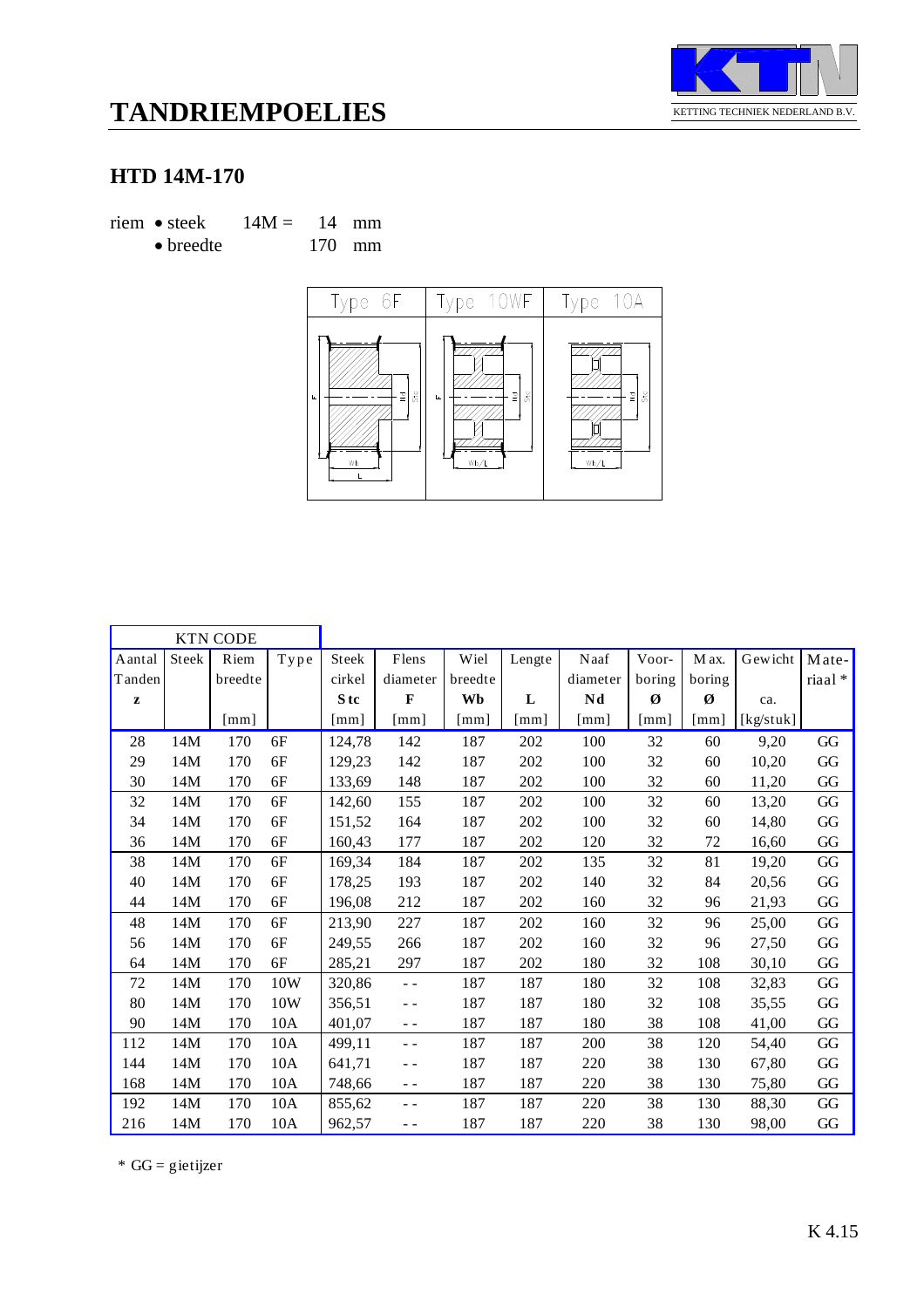

### **HTD 14M-170**

riem • steek  $14M = 14$  mm • breedte 170 mm



| <b>KTN CODE</b> |                                |                           |      |                      |                      |                      |                      |                      |                      |              |           |          |
|-----------------|--------------------------------|---------------------------|------|----------------------|----------------------|----------------------|----------------------|----------------------|----------------------|--------------|-----------|----------|
| Aantal          | $\operatorname{\mathsf{Stek}}$ | Riem                      | Type | Steek                | Flens                | Wiel                 | Lengte               | Naaf                 | Voor-                | M ax.        | Gewicht   | Mate-    |
| Tanden          |                                | breedte                   |      | cirkel               | diameter             | breedte              |                      | diameter             | boring               | boring       |           | riaal*   |
| ${\bf z}$       |                                |                           |      | S tc                 | $\bf{F}$             | Wb                   | L                    | Nd                   | Ø                    | Ø            | ca.       |          |
|                 |                                | $\lceil \text{mm} \rceil$ |      | $\lceil$ mm $\rceil$ | $\lceil$ mm $\rceil$ | $\lceil$ mm $\rceil$ | $\lceil$ mm $\rceil$ | $\lceil$ mm $\rceil$ | $\lceil$ mm $\rceil$ | $\lceil$ mm] | [kg/stuk] |          |
| 28              | 14M                            | 170                       | 6F   | 124,78               | 142                  | 187                  | 202                  | 100                  | 32                   | 60           | 9,20      | GG       |
| 29              | 14M                            | 170                       | 6F   | 129,23               | 142                  | 187                  | 202                  | 100                  | 32                   | 60           | 10,20     | GG       |
| 30              | 14M                            | 170                       | 6F   | 133,69               | 148                  | 187                  | 202                  | 100                  | 32                   | 60           | 11,20     | GG       |
| 32              | 14M                            | 170                       | 6F   | 142,60               | 155                  | 187                  | 202                  | 100                  | 32                   | 60           | 13,20     | GG       |
| 34              | 14M                            | 170                       | 6F   | 151,52               | 164                  | 187                  | 202                  | 100                  | 32                   | 60           | 14,80     | $\rm GG$ |
| 36              | 14M                            | 170                       | 6F   | 160,43               | 177                  | 187                  | 202                  | 120                  | 32                   | 72           | 16,60     | GG       |
| 38              | 14M                            | 170                       | 6F   | 169,34               | 184                  | 187                  | 202                  | 135                  | 32                   | 81           | 19,20     | $\rm GG$ |
| 40              | 14M                            | 170                       | 6F   | 178,25               | 193                  | 187                  | 202                  | 140                  | 32                   | 84           | 20,56     | GG       |
| 44              | 14M                            | 170                       | 6F   | 196,08               | 212                  | 187                  | 202                  | 160                  | 32                   | 96           | 21,93     | GG       |
| 48              | 14M                            | 170                       | 6F   | 213,90               | 227                  | 187                  | 202                  | 160                  | 32                   | 96           | 25,00     | $\rm GG$ |
| 56              | 14M                            | 170                       | 6F   | 249.55               | 266                  | 187                  | 202                  | 160                  | 32                   | 96           | 27,50     | GG       |
| 64              | 14M                            | 170                       | 6F   | 285,21               | 297                  | 187                  | 202                  | 180                  | 32                   | 108          | 30,10     | GG       |
| 72              | 14M                            | 170                       | 10W  | 320,86               | $\omega_{\rm c}$     | 187                  | 187                  | 180                  | 32                   | 108          | 32,83     | GG       |
| 80              | 14M                            | 170                       | 10W  | 356,51               | $ -$                 | 187                  | 187                  | 180                  | 32                   | 108          | 35,55     | GG       |
| 90              | 14M                            | 170                       | 10A  | 401,07               | $\sim$ $\sim$        | 187                  | 187                  | 180                  | 38                   | 108          | 41,00     | GG       |
| 112             | 14M                            | 170                       | 10A  | 499.11               | $\sim$ $\sim$        | 187                  | 187                  | 200                  | 38                   | 120          | 54,40     | GG       |
| 144             | 14M                            | 170                       | 10A  | 641,71               | $ -$                 | 187                  | 187                  | 220                  | 38                   | 130          | 67,80     | GG       |
| 168             | 14M                            | 170                       | 10A  | 748,66               | $ -$                 | 187                  | 187                  | 220                  | 38                   | 130          | 75,80     | GG       |
| 192             | 14M                            | 170                       | 10A  | 855,62               | $ -$                 | 187                  | 187                  | 220                  | 38                   | 130          | 88,30     | GG       |
| 216             | 14M                            | 170                       | 10A  | 962,57               | $ -$                 | 187                  | 187                  | 220                  | 38                   | 130          | 98,00     | GG       |